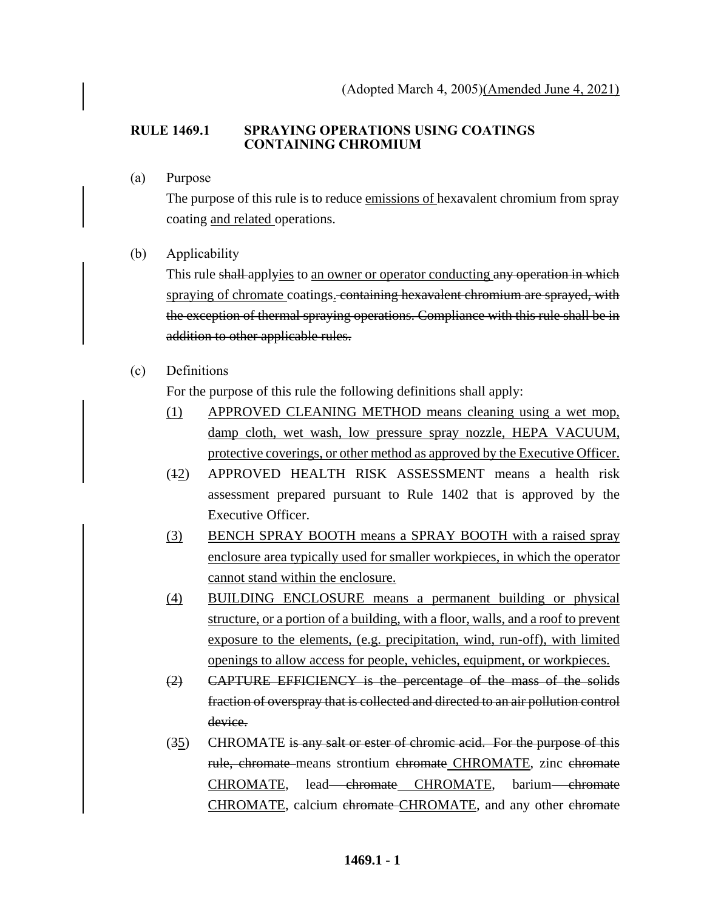## **RULE 1469.1 SPRAYING OPERATIONS USING COATINGS CONTAINING CHROMIUM**

(a) Purpose

The purpose of this rule is to reduce emissions of hexavalent chromium from spray coating and related operations.

(b) Applicability

This rule shall applyies to an owner or operator conducting any operation in which spraying of chromate coatings. containing hexavalent chromium are sprayed, with the exception of thermal spraying operations. Compliance with this rule shall be in addition to other applicable rules.

(c) Definitions

For the purpose of this rule the following definitions shall apply:

- (1) APPROVED CLEANING METHOD means cleaning using a wet mop, damp cloth, wet wash, low pressure spray nozzle, HEPA VACUUM, protective coverings, or other method as approved by the Executive Officer.
- (12) APPROVED HEALTH RISK ASSESSMENT means a health risk assessment prepared pursuant to Rule 1402 that is approved by the Executive Officer.
- (3) BENCH SPRAY BOOTH means a SPRAY BOOTH with a raised spray enclosure area typically used for smaller workpieces, in which the operator cannot stand within the enclosure.
- (4) BUILDING ENCLOSURE means a permanent building or physical structure, or a portion of a building, with a floor, walls, and a roof to prevent exposure to the elements, (e.g. precipitation, wind, run-off), with limited openings to allow access for people, vehicles, equipment, or workpieces.
- (2) CAPTURE EFFICIENCY is the percentage of the mass of the solids fraction of overspray that is collected and directed to an air pollution control device.
- (35) CHROMATE is any salt or ester of chromic acid. For the purpose of this rule, chromate means strontium chromate CHROMATE, zinc chromate CHROMATE, lead-chromate CHROMATE, barium-chromate CHROMATE, calcium ehromate-CHROMATE, and any other ehromate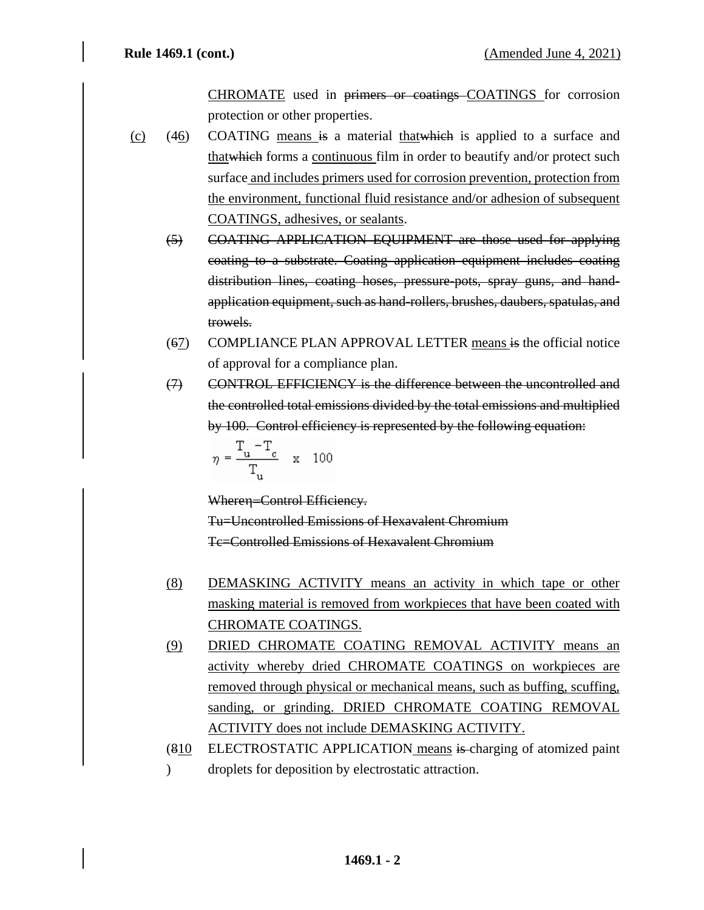CHROMATE used in primers or coatings COATINGS for corrosion protection or other properties.

(c) (46) COATING means is a material thatwhich is applied to a surface and thatwhich forms a continuous film in order to beautify and/or protect such surface and includes primers used for corrosion prevention, protection from the environment, functional fluid resistance and/or adhesion of subsequent COATINGS, adhesives, or sealants.

(5) COATING APPLICATION EQUIPMENT are those used for applying coating to a substrate. Coating application equipment includes coating distribution lines, coating hoses, pressure-pots, spray guns, and handapplication equipment, such as hand-rollers, brushes, daubers, spatulas, and trowels.

- (67) COMPLIANCE PLAN APPROVAL LETTER means is the official notice of approval for a compliance plan.
- (7) CONTROL EFFICIENCY is the difference between the uncontrolled and the controlled total emissions divided by the total emissions and multiplied by 100. Control efficiency is represented by the following equation:

$$
\eta = \frac{T_u - T_c}{T_u} \quad x \quad 100
$$

Wheren=Control Efficiency.

Tu=Uncontrolled Emissions of Hexavalent Chromium Tc=Controlled Emissions of Hexavalent Chromium

- (8) DEMASKING ACTIVITY means an activity in which tape or other masking material is removed from workpieces that have been coated with CHROMATE COATINGS.
- (9) DRIED CHROMATE COATING REMOVAL ACTIVITY means an activity whereby dried CHROMATE COATINGS on workpieces are removed through physical or mechanical means, such as buffing, scuffing, sanding, or grinding. DRIED CHROMATE COATING REMOVAL ACTIVITY does not include DEMASKING ACTIVITY.
- (810  $\mathcal{L}$ ELECTROSTATIC APPLICATION means is charging of atomized paint droplets for deposition by electrostatic attraction.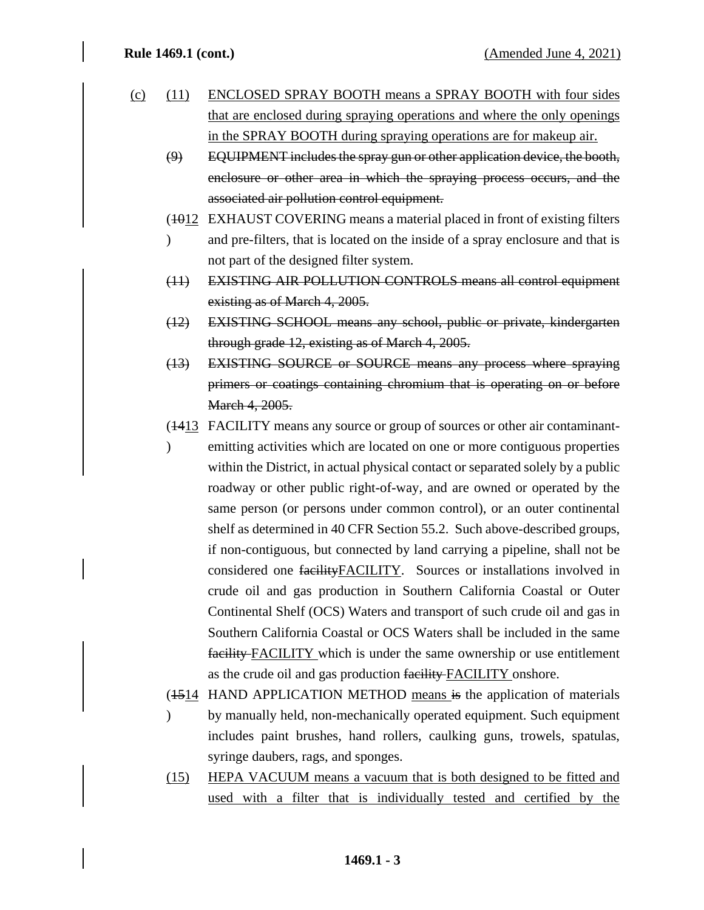- (c) (11) ENCLOSED SPRAY BOOTH means a SPRAY BOOTH with four sides that are enclosed during spraying operations and where the only openings in the SPRAY BOOTH during spraying operations are for makeup air.
	- (9) EQUIPMENT includes the spray gun or other application device, the booth, enclosure or other area in which the spraying process occurs, and the associated air pollution control equipment.
	- (4012 EXHAUST COVERING means a material placed in front of existing filters
	- $\overline{)}$ and pre-filters, that is located on the inside of a spray enclosure and that is not part of the designed filter system.
	- (11) EXISTING AIR POLLUTION CONTROLS means all control equipment existing as of March 4, 2005.
	- (12) EXISTING SCHOOL means any school, public or private, kindergarten through grade 12, existing as of March 4, 2005.
	- (13) EXISTING SOURCE or SOURCE means any process where spraying primers or coatings containing chromium that is operating on or before March 4, 2005.
	- (1413 FACILITY means any source or group of sources or other air contaminant-
	- $\mathcal{L}$ emitting activities which are located on one or more contiguous properties within the District, in actual physical contact or separated solely by a public roadway or other public right-of-way, and are owned or operated by the same person (or persons under common control), or an outer continental shelf as determined in 40 CFR Section 55.2. Such above-described groups, if non-contiguous, but connected by land carrying a pipeline, shall not be considered one facilityFACILITY. Sources or installations involved in crude oil and gas production in Southern California Coastal or Outer Continental Shelf (OCS) Waters and transport of such crude oil and gas in Southern California Coastal or OCS Waters shall be included in the same facility FACILITY which is under the same ownership or use entitlement as the crude oil and gas production facility FACILITY onshore.
	- (4514 HAND APPLICATION METHOD means is the application of materials  $\overline{)}$ by manually held, non-mechanically operated equipment. Such equipment includes paint brushes, hand rollers, caulking guns, trowels, spatulas, syringe daubers, rags, and sponges.
	- (15) HEPA VACUUM means a vacuum that is both designed to be fitted and used with a filter that is individually tested and certified by the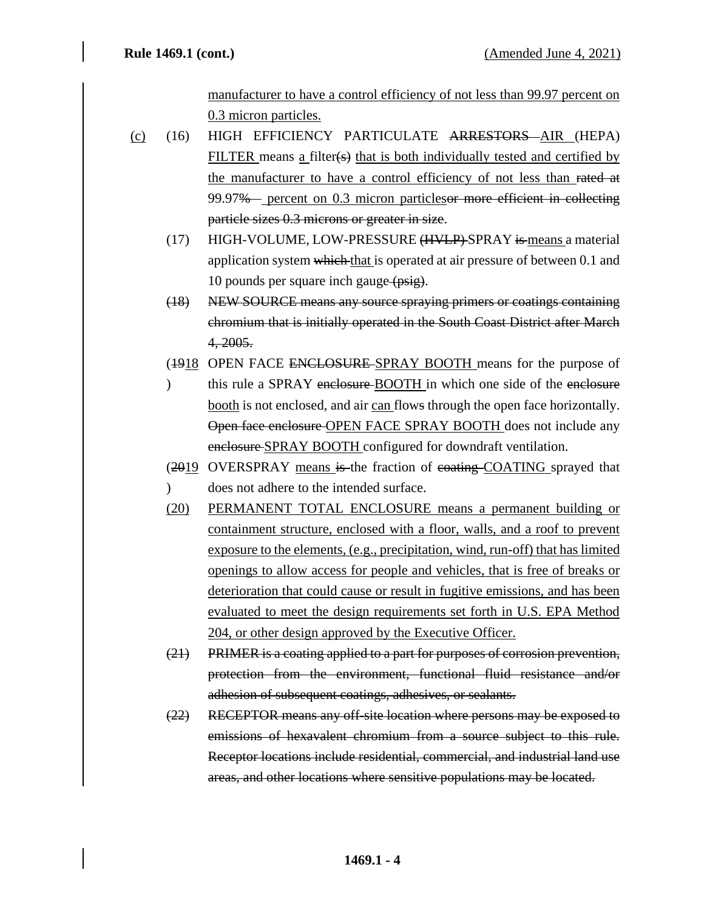manufacturer to have a control efficiency of not less than 99.97 percent on 0.3 micron particles.

- (c) (16) HIGH EFFICIENCY PARTICULATE ARRESTORS AIR (HEPA) FILTER means a filter(s) that is both individually tested and certified by the manufacturer to have a control efficiency of not less than rated at 99.97% percent on 0.3 micron particlesor more efficient in collecting particle sizes 0.3 microns or greater in size.
	- (17) HIGH-VOLUME, LOW-PRESSURE (HVLP)-SPRAY is means a material application system which that is operated at air pressure of between 0.1 and 10 pounds per square inch gauge (psig).
	- (18) NEW SOURCE means any source spraying primers or coatings containing chromium that is initially operated in the South Coast District after March 4, 2005.
	- (1918 OPEN FACE ENCLOSURE-SPRAY BOOTH means for the purpose of
	- $\mathcal{L}$ this rule a SPRAY enclosure-BOOTH in which one side of the enclosure booth is not enclosed, and air can flows through the open face horizontally. Open face enclosure OPEN FACE SPRAY BOOTH does not include any enclosure SPRAY BOOTH configured for downdraft ventilation.
	- (2019 OVERSPRAY means is the fraction of coating COATING sprayed that
	- $\overline{)}$ does not adhere to the intended surface.
	- (20) PERMANENT TOTAL ENCLOSURE means a permanent building or containment structure, enclosed with a floor, walls, and a roof to prevent exposure to the elements, (e.g., precipitation, wind, run-off) that has limited openings to allow access for people and vehicles, that is free of breaks or deterioration that could cause or result in fugitive emissions, and has been evaluated to meet the design requirements set forth in U.S. EPA Method 204, or other design approved by the Executive Officer.
	- (21) PRIMER is a coating applied to a part for purposes of corrosion prevention, protection from the environment, functional fluid resistance and/or adhesion of subsequent coatings, adhesives, or sealants.
	- (22) RECEPTOR means any off-site location where persons may be exposed to emissions of hexavalent chromium from a source subject to this rule. Receptor locations include residential, commercial, and industrial land use areas, and other locations where sensitive populations may be located.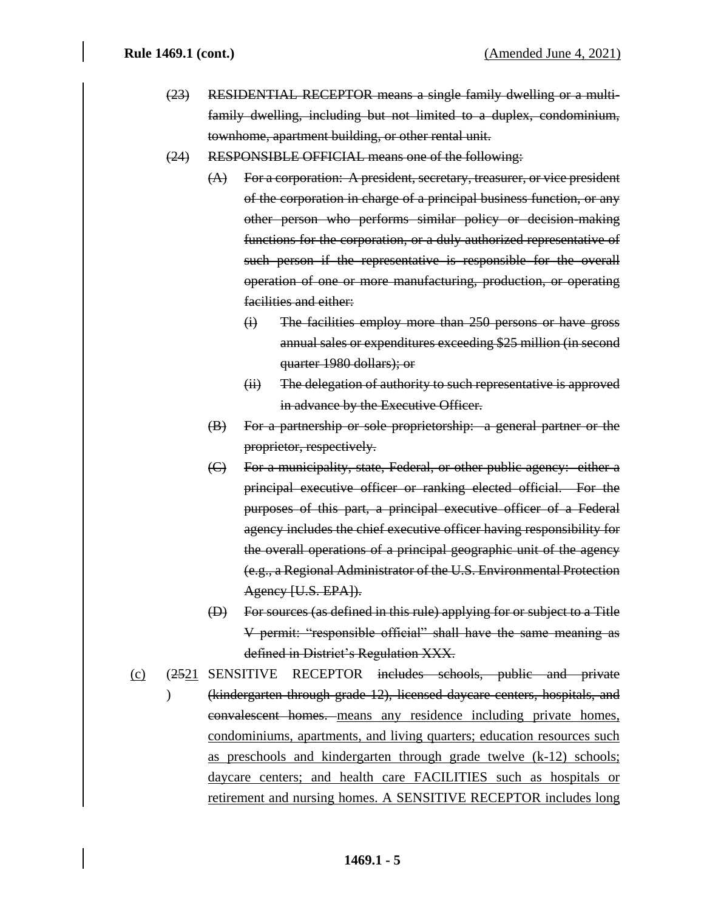- (23) RESIDENTIAL RECEPTOR means a single family dwelling or a multifamily dwelling, including but not limited to a duplex, condominium, townhome, apartment building, or other rental unit.
- (24) RESPONSIBLE OFFICIAL means one of the following:
	- (A) For a corporation: A president, secretary, treasurer, or vice president of the corporation in charge of a principal business function, or any other person who performs similar policy or decision-making functions for the corporation, or a duly authorized representative of such person if the representative is responsible for the overall operation of one or more manufacturing, production, or operating facilities and either:
		- (i) The facilities employ more than 250 persons or have gross annual sales or expenditures exceeding \$25 million (in second quarter 1980 dollars); or
		- (ii) The delegation of authority to such representative is approved in advance by the Executive Officer.
	- (B) For a partnership or sole proprietorship: a general partner or the proprietor, respectively.
	- (C) For a municipality, state, Federal, or other public agency: either a principal executive officer or ranking elected official. For the purposes of this part, a principal executive officer of a Federal agency includes the chief executive officer having responsibility for the overall operations of a principal geographic unit of the agency (e.g., a Regional Administrator of the U.S. Environmental Protection Agency [U.S. EPA]).
	- (D) For sources (as defined in this rule) applying for or subject to a Title V permit: "responsible official" shall have the same meaning as defined in District's Regulation XXX.
- (c) (2521 SENSITIVE RECEPTOR includes schools, public and private  $\lambda$ (kindergarten through grade 12), licensed daycare centers, hospitals, and convalescent homes. means any residence including private homes, condominiums, apartments, and living quarters; education resources such as preschools and kindergarten through grade twelve (k-12) schools; daycare centers; and health care FACILITIES such as hospitals or retirement and nursing homes. A SENSITIVE RECEPTOR includes long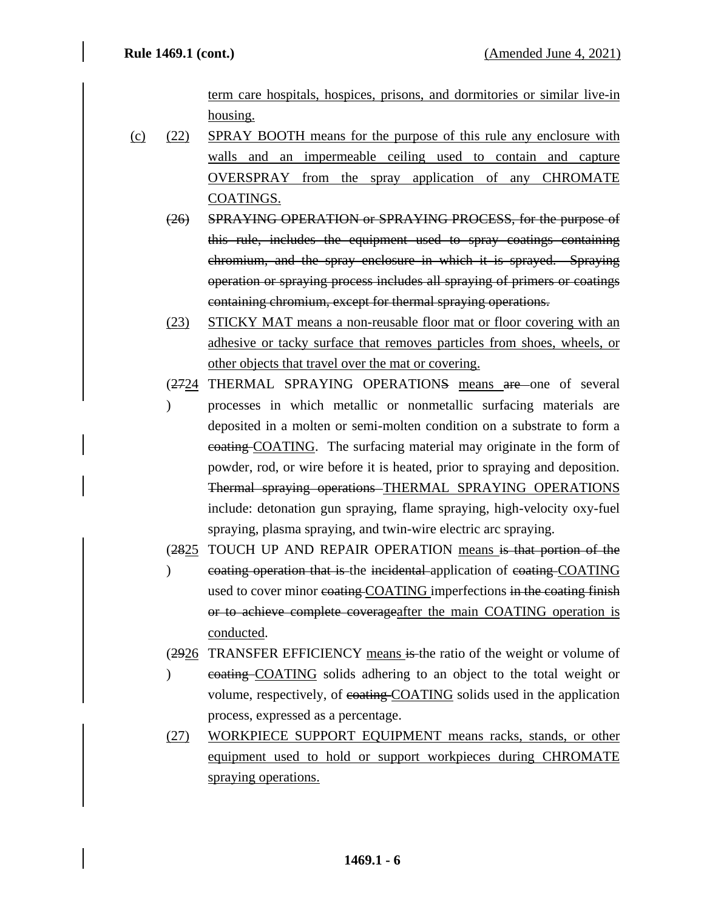term care hospitals, hospices, prisons, and dormitories or similar live-in housing.

- (c) (22) SPRAY BOOTH means for the purpose of this rule any enclosure with walls and an impermeable ceiling used to contain and capture OVERSPRAY from the spray application of any CHROMATE COATINGS.
	- (26) SPRAYING OPERATION or SPRAYING PROCESS, for the purpose of this rule, includes the equipment used to spray coatings containing chromium, and the spray enclosure in which it is sprayed. Spraying operation or spraying process includes all spraying of primers or coatings containing chromium, except for thermal spraying operations.
	- (23) STICKY MAT means a non-reusable floor mat or floor covering with an adhesive or tacky surface that removes particles from shoes, wheels, or other objects that travel over the mat or covering.
	- (2724 THERMAL SPRAYING OPERATIONS means are one of several
	- $\mathcal{L}$ processes in which metallic or nonmetallic surfacing materials are deposited in a molten or semi-molten condition on a substrate to form a coating COATING. The surfacing material may originate in the form of powder, rod, or wire before it is heated, prior to spraying and deposition. Thermal spraying operations THERMAL SPRAYING OPERATIONS include: detonation gun spraying, flame spraying, high-velocity oxy-fuel spraying, plasma spraying, and twin-wire electric arc spraying.
	- (2825 TOUCH UP AND REPAIR OPERATION means is that portion of the
	- $\mathcal{L}$ coating operation that is the incidental application of coating COATING used to cover minor coating COATING imperfections in the coating finish or to achieve complete coverageafter the main COATING operation is conducted.
	- (2926 TRANSFER EFFICIENCY means is the ratio of the weight or volume of
	- $\lambda$ coating COATING solids adhering to an object to the total weight or volume, respectively, of coating COATING solids used in the application process, expressed as a percentage.
	- (27) WORKPIECE SUPPORT EQUIPMENT means racks, stands, or other equipment used to hold or support workpieces during CHROMATE spraying operations.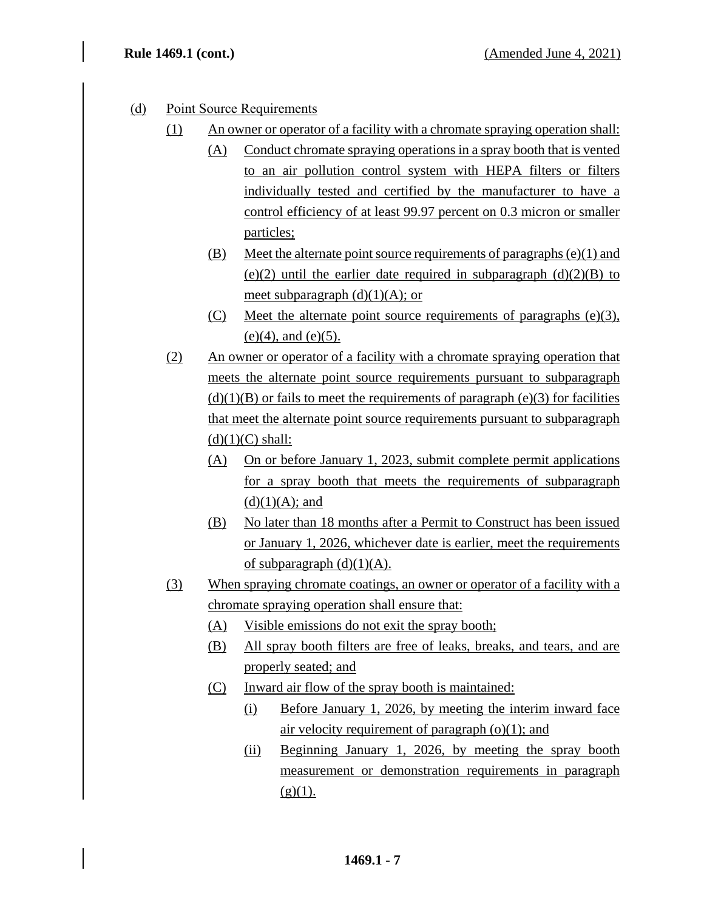- (d) Point Source Requirements
	- (1) An owner or operator of a facility with a chromate spraying operation shall:
		- (A) Conduct chromate spraying operations in a spray booth that is vented to an air pollution control system with HEPA filters or filters individually tested and certified by the manufacturer to have a control efficiency of at least 99.97 percent on 0.3 micron or smaller particles;
		- (B) Meet the alternate point source requirements of paragraphs (e)(1) and (e)(2) until the earlier date required in subparagraph  $(d)(2)(B)$  to meet subparagraph  $(d)(1)(A)$ ; or
		- (C) Meet the alternate point source requirements of paragraphs (e)(3),  $(e)(4)$ , and  $(e)(5)$ .
	- (2) An owner or operator of a facility with a chromate spraying operation that meets the alternate point source requirements pursuant to subparagraph  $(d)(1)(B)$  or fails to meet the requirements of paragraph (e)(3) for facilities that meet the alternate point source requirements pursuant to subparagraph  $(d)(1)(C)$  shall:
		- (A) On or before January 1, 2023, submit complete permit applications for a spray booth that meets the requirements of subparagraph  $(d)(1)(A);$  and
		- (B) No later than 18 months after a Permit to Construct has been issued or January 1, 2026, whichever date is earlier, meet the requirements of subparagraph  $(d)(1)(A)$ .
	- (3) When spraying chromate coatings, an owner or operator of a facility with a chromate spraying operation shall ensure that:
		- (A) Visible emissions do not exit the spray booth;
		- (B) All spray booth filters are free of leaks, breaks, and tears, and are properly seated; and
		- (C) Inward air flow of the spray booth is maintained:
			- (i) Before January 1, 2026, by meeting the interim inward face air velocity requirement of paragraph  $(o)(1)$ ; and
			- (ii) Beginning January 1, 2026, by meeting the spray booth measurement or demonstration requirements in paragraph  $(g)(1)$ .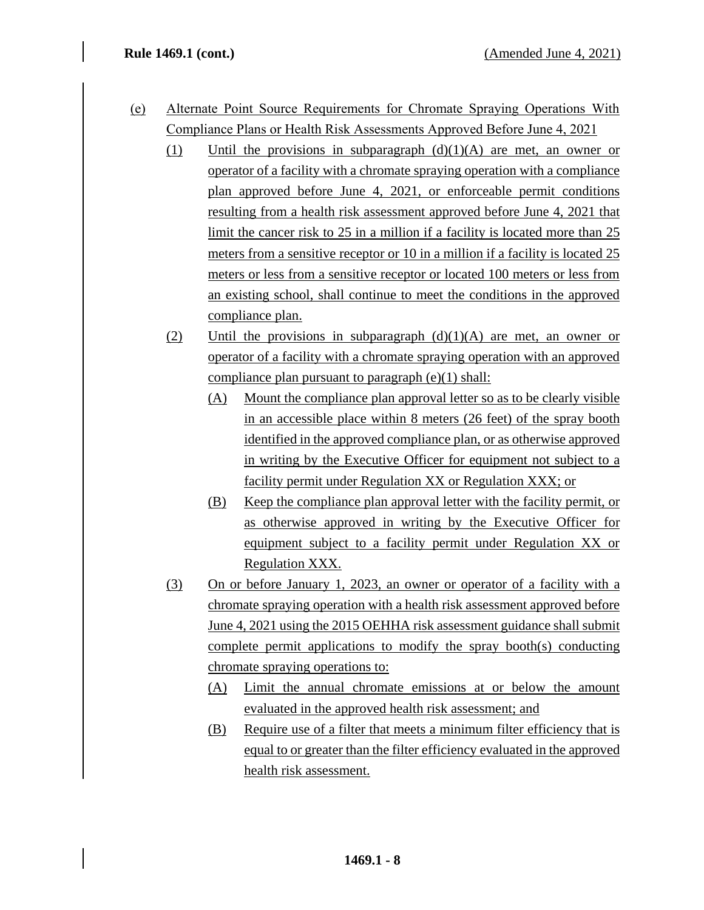- (e) Alternate Point Source Requirements for Chromate Spraying Operations With Compliance Plans or Health Risk Assessments Approved Before June 4, 2021
	- (1) Until the provisions in subparagraph  $(d)(1)(A)$  are met, an owner or operator of a facility with a chromate spraying operation with a compliance plan approved before June 4, 2021, or enforceable permit conditions resulting from a health risk assessment approved before June 4, 2021 that limit the cancer risk to 25 in a million if a facility is located more than 25 meters from a sensitive receptor or 10 in a million if a facility is located 25 meters or less from a sensitive receptor or located 100 meters or less from an existing school, shall continue to meet the conditions in the approved compliance plan.
	- (2) Until the provisions in subparagraph  $(d)(1)(A)$  are met, an owner or operator of a facility with a chromate spraying operation with an approved compliance plan pursuant to paragraph (e)(1) shall:
		- (A) Mount the compliance plan approval letter so as to be clearly visible in an accessible place within 8 meters (26 feet) of the spray booth identified in the approved compliance plan, or as otherwise approved in writing by the Executive Officer for equipment not subject to a facility permit under Regulation XX or Regulation XXX; or
		- (B) Keep the compliance plan approval letter with the facility permit, or as otherwise approved in writing by the Executive Officer for equipment subject to a facility permit under Regulation XX or Regulation XXX.
	- (3) On or before January 1, 2023, an owner or operator of a facility with a chromate spraying operation with a health risk assessment approved before June 4, 2021 using the 2015 OEHHA risk assessment guidance shall submit complete permit applications to modify the spray booth(s) conducting chromate spraying operations to:
		- (A) Limit the annual chromate emissions at or below the amount evaluated in the approved health risk assessment; and
		- (B) Require use of a filter that meets a minimum filter efficiency that is equal to or greater than the filter efficiency evaluated in the approved health risk assessment.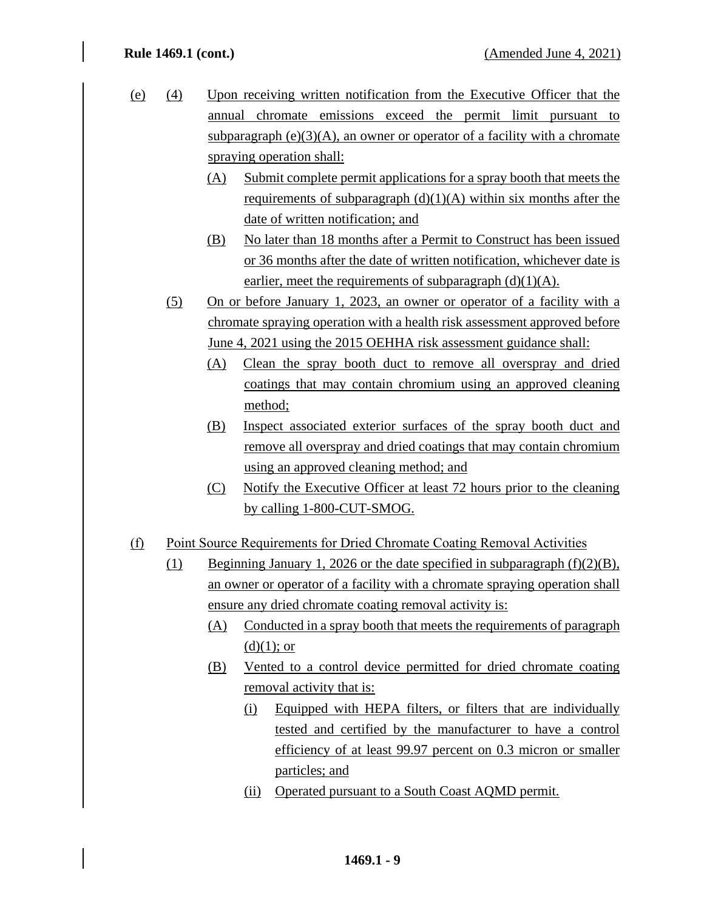- (e) (4) Upon receiving written notification from the Executive Officer that the annual chromate emissions exceed the permit limit pursuant to subparagraph  $(e)(3)(A)$ , an owner or operator of a facility with a chromate spraying operation shall:
	- (A) Submit complete permit applications for a spray booth that meets the requirements of subparagraph  $(d)(1)(A)$  within six months after the date of written notification; and
	- (B) No later than 18 months after a Permit to Construct has been issued or 36 months after the date of written notification, whichever date is earlier, meet the requirements of subparagraph  $(d)(1)(A)$ .
	- (5) On or before January 1, 2023, an owner or operator of a facility with a chromate spraying operation with a health risk assessment approved before June 4, 2021 using the 2015 OEHHA risk assessment guidance shall:
		- (A) Clean the spray booth duct to remove all overspray and dried coatings that may contain chromium using an approved cleaning method;
		- (B) Inspect associated exterior surfaces of the spray booth duct and remove all overspray and dried coatings that may contain chromium using an approved cleaning method; and
		- (C) Notify the Executive Officer at least 72 hours prior to the cleaning by calling 1-800-CUT-SMOG.
- (f) Point Source Requirements for Dried Chromate Coating Removal Activities
	- (1) Beginning January 1, 2026 or the date specified in subparagraph  $(f)(2)(B)$ , an owner or operator of a facility with a chromate spraying operation shall ensure any dried chromate coating removal activity is:
		- (A) Conducted in a spray booth that meets the requirements of paragraph  $(d)(1)$ ; or
		- (B) Vented to a control device permitted for dried chromate coating removal activity that is:
			- (i) Equipped with HEPA filters, or filters that are individually tested and certified by the manufacturer to have a control efficiency of at least 99.97 percent on 0.3 micron or smaller particles; and
			- (ii) Operated pursuant to a South Coast AQMD permit.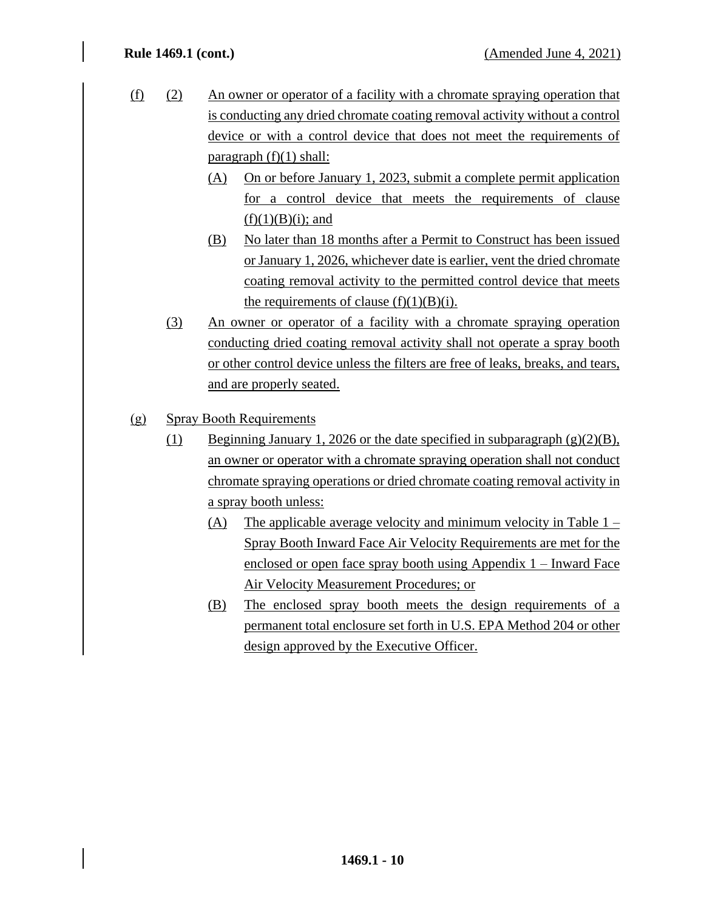- (f) (2) An owner or operator of a facility with a chromate spraying operation that is conducting any dried chromate coating removal activity without a control device or with a control device that does not meet the requirements of paragraph  $(f)(1)$  shall:
	- (A) On or before January 1, 2023, submit a complete permit application for a control device that meets the requirements of clause  $(f)(1)(B)(i)$ ; and
	- (B) No later than 18 months after a Permit to Construct has been issued or January 1, 2026, whichever date is earlier, vent the dried chromate coating removal activity to the permitted control device that meets the requirements of clause  $(f)(1)(B)(i)$ .
	- (3) An owner or operator of a facility with a chromate spraying operation conducting dried coating removal activity shall not operate a spray booth or other control device unless the filters are free of leaks, breaks, and tears, and are properly seated.
- (g) Spray Booth Requirements
	- (1) Beginning January 1, 2026 or the date specified in subparagraph  $(g)(2)(B)$ , an owner or operator with a chromate spraying operation shall not conduct chromate spraying operations or dried chromate coating removal activity in a spray booth unless:
		- (A) The applicable average velocity and minimum velocity in Table  $1 -$ Spray Booth Inward Face Air Velocity Requirements are met for the enclosed or open face spray booth using Appendix 1 – Inward Face Air Velocity Measurement Procedures; or
		- (B) The enclosed spray booth meets the design requirements of a permanent total enclosure set forth in U.S. EPA Method 204 or other design approved by the Executive Officer.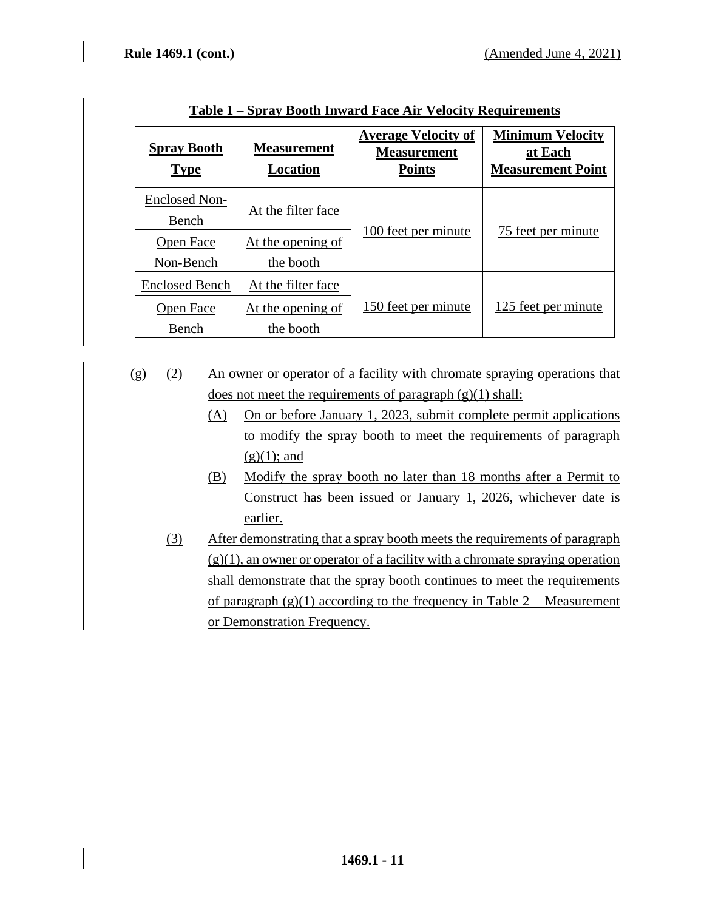| <b>Spray Booth</b><br><b>Type</b> | <b>Measurement</b><br>Location | <b>Average Velocity of</b><br><b>Measurement</b><br><b>Points</b> | <b>Minimum Velocity</b><br>at Each<br><b>Measurement Point</b> |  |  |
|-----------------------------------|--------------------------------|-------------------------------------------------------------------|----------------------------------------------------------------|--|--|
| <b>Enclosed Non-</b><br>Bench     | At the filter face             | 100 feet per minute                                               | 75 feet per minute                                             |  |  |
| Open Face<br>Non-Bench            | At the opening of<br>the booth |                                                                   |                                                                |  |  |
| <b>Enclosed Bench</b>             | At the filter face             |                                                                   |                                                                |  |  |
| <b>Open</b> Face                  | At the opening of              | 150 feet per minute                                               | 125 feet per minute                                            |  |  |
| Bench                             | the booth                      |                                                                   |                                                                |  |  |

**Table 1 – Spray Booth Inward Face Air Velocity Requirements**

- (g) (2) An owner or operator of a facility with chromate spraying operations that does not meet the requirements of paragraph  $(g)(1)$  shall:
	- (A) On or before January 1, 2023, submit complete permit applications to modify the spray booth to meet the requirements of paragraph  $(g)(1)$ ; and
	- (B) Modify the spray booth no later than 18 months after a Permit to Construct has been issued or January 1, 2026, whichever date is earlier.
	- (3) After demonstrating that a spray booth meets the requirements of paragraph  $(g)(1)$ , an owner or operator of a facility with a chromate spraying operation shall demonstrate that the spray booth continues to meet the requirements of paragraph  $(g)(1)$  according to the frequency in Table 2 – Measurement or Demonstration Frequency.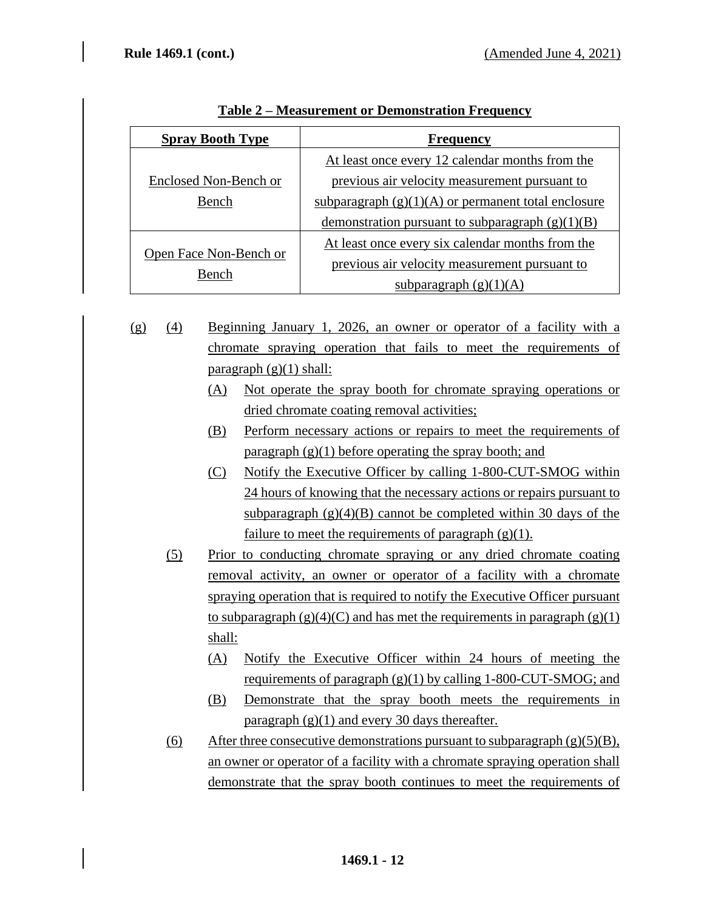| <b>Spray Booth Type</b> | <b>Frequency</b>                                      |  |  |  |  |
|-------------------------|-------------------------------------------------------|--|--|--|--|
|                         | At least once every 12 calendar months from the       |  |  |  |  |
| Enclosed Non-Bench or   | previous air velocity measurement pursuant to         |  |  |  |  |
| Bench                   | subparagraph $(g)(1)(A)$ or permanent total enclosure |  |  |  |  |
|                         | demonstration pursuant to subparagraph $(g)(1)(B)$    |  |  |  |  |
|                         | At least once every six calendar months from the      |  |  |  |  |
| Open Face Non-Bench or  | previous air velocity measurement pursuant to         |  |  |  |  |
| Bench                   | subparagraph $(g)(1)(A)$                              |  |  |  |  |

## **Table 2 – Measurement or Demonstration Frequency**

(g) (4) Beginning January 1, 2026, an owner or operator of a facility with a chromate spraying operation that fails to meet the requirements of paragraph  $(g)(1)$  shall:

- (A) Not operate the spray booth for chromate spraying operations or dried chromate coating removal activities;
- (B) Perform necessary actions or repairs to meet the requirements of paragraph  $(g)(1)$  before operating the spray booth; and
- (C) Notify the Executive Officer by calling 1-800-CUT-SMOG within 24 hours of knowing that the necessary actions or repairs pursuant to subparagraph  $(g)(4)(B)$  cannot be completed within 30 days of the failure to meet the requirements of paragraph  $(g)(1)$ .
- (5) Prior to conducting chromate spraying or any dried chromate coating removal activity, an owner or operator of a facility with a chromate spraying operation that is required to notify the Executive Officer pursuant to subparagraph  $(g)(4)(C)$  and has met the requirements in paragraph  $(g)(1)$ shall:
	- (A) Notify the Executive Officer within 24 hours of meeting the requirements of paragraph  $(g)(1)$  by calling 1-800-CUT-SMOG; and
	- (B) Demonstrate that the spray booth meets the requirements in paragraph  $(g)(1)$  and every 30 days thereafter.
- (6) After three consecutive demonstrations pursuant to subparagraph  $(g)(5)(B)$ , an owner or operator of a facility with a chromate spraying operation shall demonstrate that the spray booth continues to meet the requirements of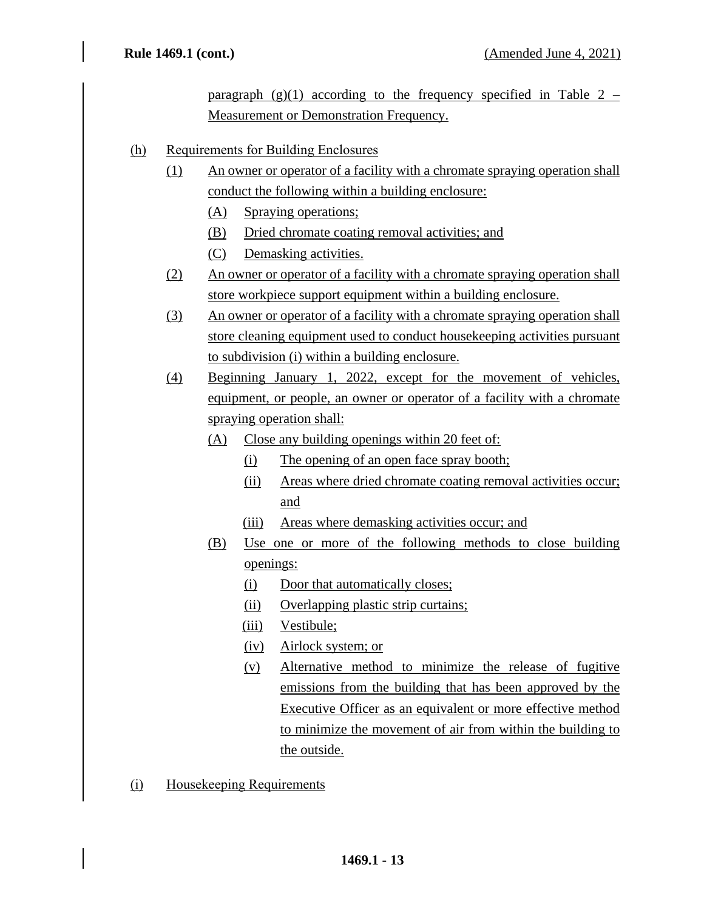paragraph  $(g)(1)$  according to the frequency specified in Table 2 – Measurement or Demonstration Frequency.

- (h) Requirements for Building Enclosures
	- (1) An owner or operator of a facility with a chromate spraying operation shall conduct the following within a building enclosure:
		- (A) Spraying operations;
		- (B) Dried chromate coating removal activities; and
		- (C) Demasking activities.
	- (2) An owner or operator of a facility with a chromate spraying operation shall store workpiece support equipment within a building enclosure.
	- (3) An owner or operator of a facility with a chromate spraying operation shall store cleaning equipment used to conduct housekeeping activities pursuant to subdivision (i) within a building enclosure.
	- (4) Beginning January 1, 2022, except for the movement of vehicles, equipment, or people, an owner or operator of a facility with a chromate spraying operation shall:
		- (A) Close any building openings within 20 feet of:
			- (i) The opening of an open face spray booth;
			- (ii) Areas where dried chromate coating removal activities occur; and
			- (iii) Areas where demasking activities occur; and
		- (B) Use one or more of the following methods to close building openings:
			- (i) Door that automatically closes;
			- (ii) Overlapping plastic strip curtains;
			- (iii) Vestibule;
			- (iv) Airlock system; or
			- (v) Alternative method to minimize the release of fugitive emissions from the building that has been approved by the Executive Officer as an equivalent or more effective method to minimize the movement of air from within the building to the outside.
- (i) Housekeeping Requirements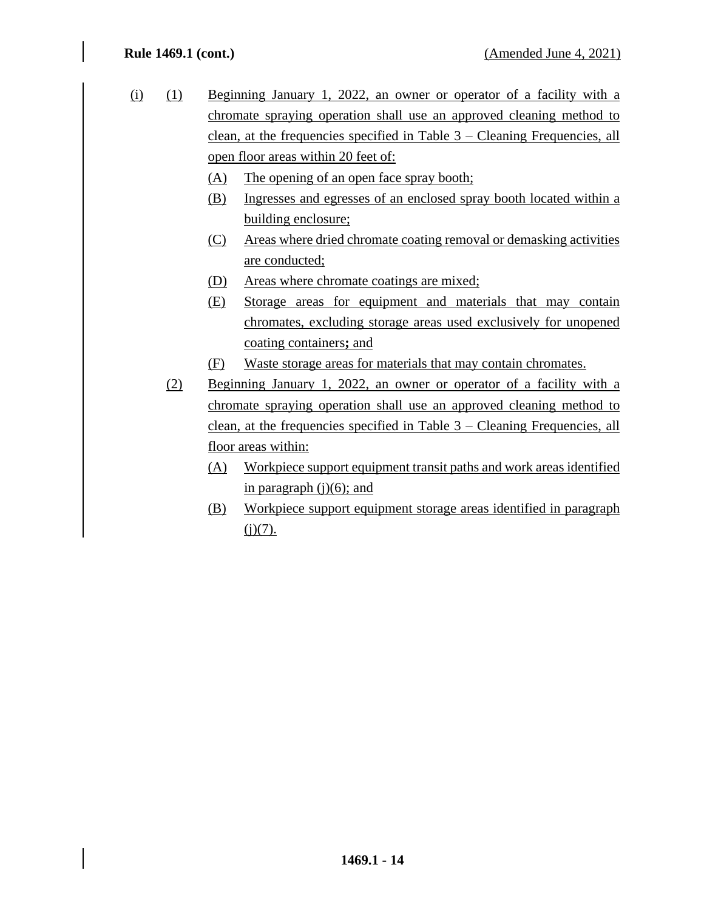- (i) (1) Beginning January 1, 2022, an owner or operator of a facility with a chromate spraying operation shall use an approved cleaning method to clean, at the frequencies specified in Table 3 – Cleaning Frequencies, all open floor areas within 20 feet of:
	- (A) The opening of an open face spray booth;
	- (B) Ingresses and egresses of an enclosed spray booth located within a building enclosure;
	- (C) Areas where dried chromate coating removal or demasking activities are conducted;
	- (D) Areas where chromate coatings are mixed;
	- (E) Storage areas for equipment and materials that may contain chromates, excluding storage areas used exclusively for unopened coating containers**;** and
	- (F) Waste storage areas for materials that may contain chromates.
	- (2) Beginning January 1, 2022, an owner or operator of a facility with a chromate spraying operation shall use an approved cleaning method to clean, at the frequencies specified in Table 3 – Cleaning Frequencies, all floor areas within:
		- (A) Workpiece support equipment transit paths and work areas identified in paragraph  $(j)(6)$ ; and
		- (B) Workpiece support equipment storage areas identified in paragraph  $(i)(7)$ .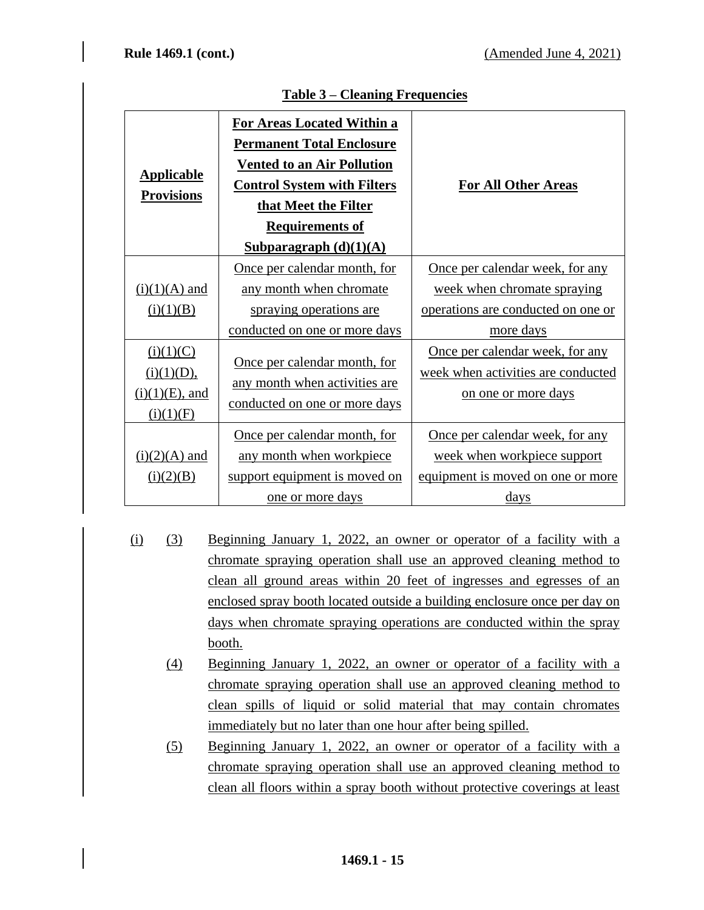| <b>Applicable</b><br><b>Provisions</b>                    | <b>For Areas Located Within a</b><br><b>Permanent Total Enclosure</b><br><b>Vented to an Air Pollution</b><br><b>Control System with Filters</b><br>that Meet the Filter<br><b>Requirements of</b><br>Subparagraph $(d)(1)(A)$ | <b>For All Other Areas</b>                                                                                        |
|-----------------------------------------------------------|--------------------------------------------------------------------------------------------------------------------------------------------------------------------------------------------------------------------------------|-------------------------------------------------------------------------------------------------------------------|
| $(i)(1)(A)$ and<br>(i)(1)(B)                              | Once per calendar month, for<br>any month when chromate<br>spraying operations are<br>conducted on one or more days                                                                                                            | Once per calendar week, for any<br>week when chromate spraying<br>operations are conducted on one or<br>more days |
| (i)(1)(C)<br>(i)(1)(D),<br>$(i)(1)(E)$ , and<br>(i)(1)(F) | Once per calendar month, for<br>any month when activities are<br>conducted on one or more days                                                                                                                                 | Once per calendar week, for any<br>week when activities are conducted<br>on one or more days                      |
| $(i)(2)(A)$ and<br>(i)(2)(B)                              | Once per calendar month, for<br>any month when workpiece<br>support equipment is moved on<br><u>one or more days</u>                                                                                                           | Once per calendar week, for any<br>week when workpiece support<br>equipment is moved on one or more<br>days       |

## **Table 3 – Cleaning Frequencies**

- (i) (3) Beginning January 1, 2022, an owner or operator of a facility with a chromate spraying operation shall use an approved cleaning method to clean all ground areas within 20 feet of ingresses and egresses of an enclosed spray booth located outside a building enclosure once per day on days when chromate spraying operations are conducted within the spray booth.
	- (4) Beginning January 1, 2022, an owner or operator of a facility with a chromate spraying operation shall use an approved cleaning method to clean spills of liquid or solid material that may contain chromates immediately but no later than one hour after being spilled.
	- (5) Beginning January 1, 2022, an owner or operator of a facility with a chromate spraying operation shall use an approved cleaning method to clean all floors within a spray booth without protective coverings at least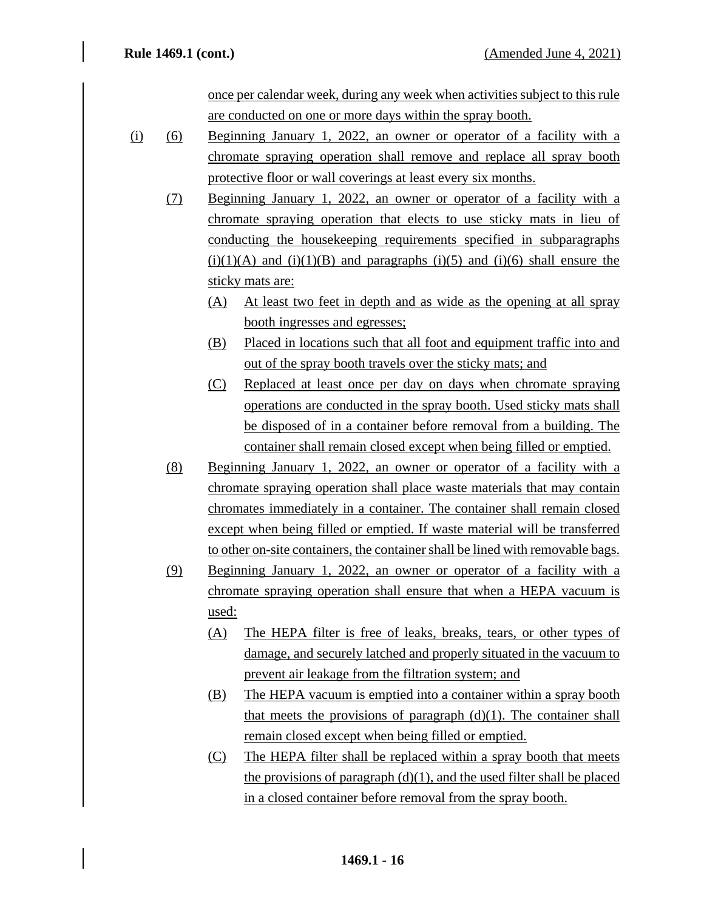once per calendar week, during any week when activities subject to this rule are conducted on one or more days within the spray booth.

- (i) (6) Beginning January 1, 2022, an owner or operator of a facility with a chromate spraying operation shall remove and replace all spray booth protective floor or wall coverings at least every six months.
	- (7) Beginning January 1, 2022, an owner or operator of a facility with a chromate spraying operation that elects to use sticky mats in lieu of conducting the housekeeping requirements specified in subparagraphs  $(i)(1)(A)$  and  $(i)(1)(B)$  and paragraphs  $(i)(5)$  and  $(i)(6)$  shall ensure the sticky mats are:
		- (A) At least two feet in depth and as wide as the opening at all spray booth ingresses and egresses;
		- (B) Placed in locations such that all foot and equipment traffic into and out of the spray booth travels over the sticky mats; and
		- (C) Replaced at least once per day on days when chromate spraying operations are conducted in the spray booth. Used sticky mats shall be disposed of in a container before removal from a building. The container shall remain closed except when being filled or emptied.
	- (8) Beginning January 1, 2022, an owner or operator of a facility with a chromate spraying operation shall place waste materials that may contain chromates immediately in a container. The container shall remain closed except when being filled or emptied. If waste material will be transferred to other on-site containers, the container shall be lined with removable bags.
	- (9) Beginning January 1, 2022, an owner or operator of a facility with a chromate spraying operation shall ensure that when a HEPA vacuum is used:
		- (A) The HEPA filter is free of leaks, breaks, tears, or other types of damage, and securely latched and properly situated in the vacuum to prevent air leakage from the filtration system; and
		- (B) The HEPA vacuum is emptied into a container within a spray booth that meets the provisions of paragraph  $(d)(1)$ . The container shall remain closed except when being filled or emptied.
		- (C) The HEPA filter shall be replaced within a spray booth that meets the provisions of paragraph  $(d)(1)$ , and the used filter shall be placed in a closed container before removal from the spray booth.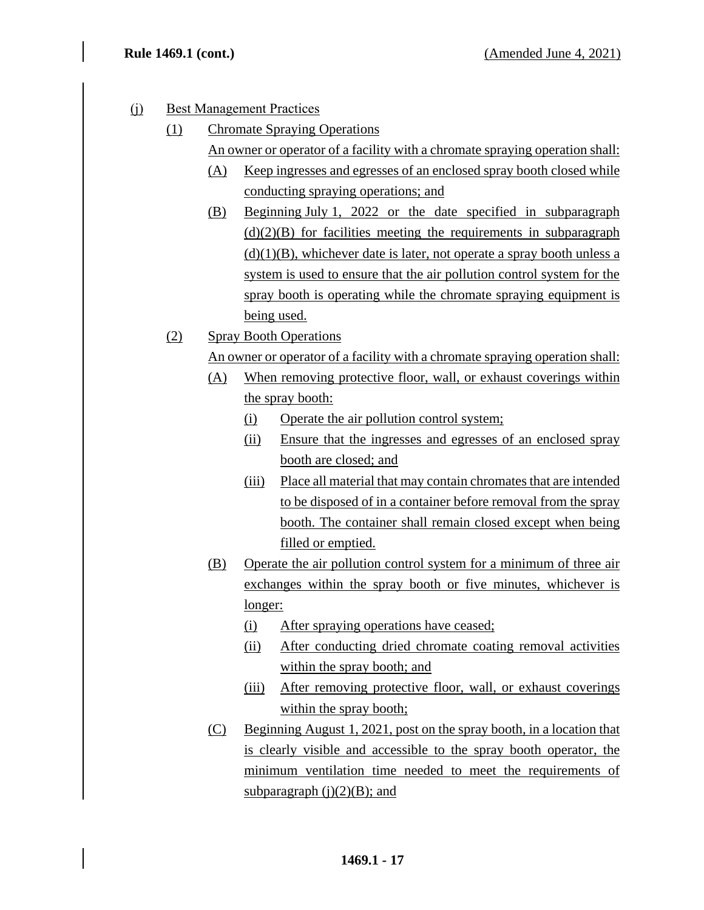- (j) Best Management Practices
	- (1) Chromate Spraying Operations
		- An owner or operator of a facility with a chromate spraying operation shall:
		- (A) Keep ingresses and egresses of an enclosed spray booth closed while conducting spraying operations; and
		- (B) Beginning July 1, 2022 or the date specified in subparagraph  $(d)(2)(B)$  for facilities meeting the requirements in subparagraph  $(d)(1)(B)$ , whichever date is later, not operate a spray booth unless a system is used to ensure that the air pollution control system for the spray booth is operating while the chromate spraying equipment is being used.
	- (2) Spray Booth Operations
		- An owner or operator of a facility with a chromate spraying operation shall:
		- (A) When removing protective floor, wall, or exhaust coverings within the spray booth:
			- (i) Operate the air pollution control system;
			- (ii) Ensure that the ingresses and egresses of an enclosed spray booth are closed; and
			- (iii) Place all material that may contain chromates that are intended to be disposed of in a container before removal from the spray booth. The container shall remain closed except when being filled or emptied.
		- (B) Operate the air pollution control system for a minimum of three air exchanges within the spray booth or five minutes, whichever is longer:
			- (i) After spraying operations have ceased;
			- (ii) After conducting dried chromate coating removal activities within the spray booth; and
			- (iii) After removing protective floor, wall, or exhaust coverings within the spray booth;
		- (C) Beginning August 1, 2021, post on the spray booth, in a location that is clearly visible and accessible to the spray booth operator, the minimum ventilation time needed to meet the requirements of subparagraph  $(i)(2)(B)$ ; and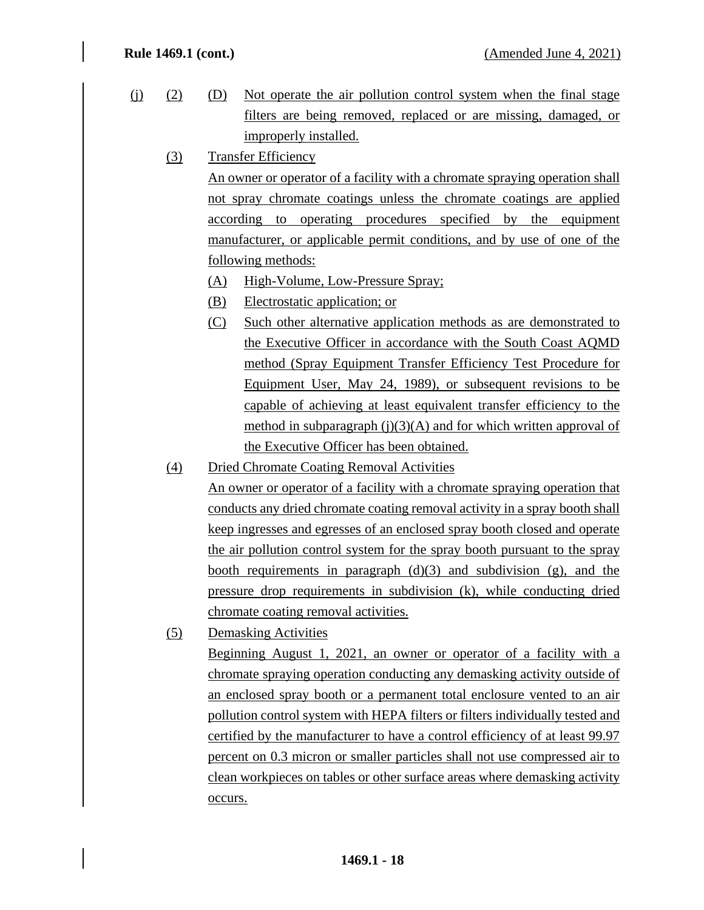(j) (2) (D) Not operate the air pollution control system when the final stage filters are being removed, replaced or are missing, damaged, or improperly installed. (3) Transfer Efficiency

An owner or operator of a facility with a chromate spraying operation shall not spray chromate coatings unless the chromate coatings are applied according to operating procedures specified by the equipment manufacturer, or applicable permit conditions, and by use of one of the following methods:

- (A) High-Volume, Low-Pressure Spray;
- (B) Electrostatic application; or
- (C) Such other alternative application methods as are demonstrated to the Executive Officer in accordance with the South Coast AQMD method (Spray Equipment Transfer Efficiency Test Procedure for Equipment User, May 24, 1989), or subsequent revisions to be capable of achieving at least equivalent transfer efficiency to the method in subparagraph  $(i)(3)(A)$  and for which written approval of the Executive Officer has been obtained.
- (4) Dried Chromate Coating Removal Activities

An owner or operator of a facility with a chromate spraying operation that conducts any dried chromate coating removal activity in a spray booth shall keep ingresses and egresses of an enclosed spray booth closed and operate the air pollution control system for the spray booth pursuant to the spray booth requirements in paragraph  $(d)(3)$  and subdivision  $(g)$ , and the pressure drop requirements in subdivision (k), while conducting dried chromate coating removal activities.

(5) Demasking Activities

Beginning August 1, 2021, an owner or operator of a facility with a chromate spraying operation conducting any demasking activity outside of an enclosed spray booth or a permanent total enclosure vented to an air pollution control system with HEPA filters or filters individually tested and certified by the manufacturer to have a control efficiency of at least 99.97 percent on 0.3 micron or smaller particles shall not use compressed air to clean workpieces on tables or other surface areas where demasking activity occurs.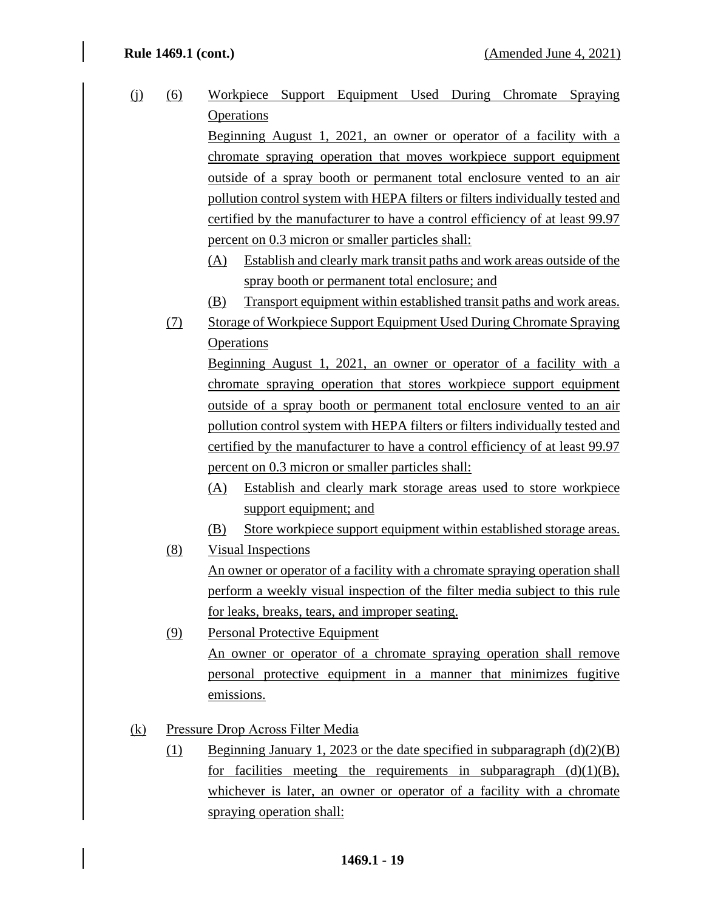(j) (6) Workpiece Support Equipment Used During Chromate Spraying **Operations** Beginning August 1, 2021, an owner or operator of a facility with a chromate spraying operation that moves workpiece support equipment outside of a spray booth or permanent total enclosure vented to an air pollution control system with HEPA filters or filters individually tested and certified by the manufacturer to have a control efficiency of at least 99.97 percent on 0.3 micron or smaller particles shall: (A) Establish and clearly mark transit paths and work areas outside of the spray booth or permanent total enclosure; and (B) Transport equipment within established transit paths and work areas. (7) Storage of Workpiece Support Equipment Used During Chromate Spraying **Operations** Beginning August 1, 2021, an owner or operator of a facility with a

chromate spraying operation that stores workpiece support equipment outside of a spray booth or permanent total enclosure vented to an air pollution control system with HEPA filters or filters individually tested and certified by the manufacturer to have a control efficiency of at least 99.97 percent on 0.3 micron or smaller particles shall:

- (A) Establish and clearly mark storage areas used to store workpiece support equipment; and
- (B) Store workpiece support equipment within established storage areas.
- (8) Visual Inspections

An owner or operator of a facility with a chromate spraying operation shall perform a weekly visual inspection of the filter media subject to this rule for leaks, breaks, tears, and improper seating.

- (9) Personal Protective Equipment An owner or operator of a chromate spraying operation shall remove personal protective equipment in a manner that minimizes fugitive emissions.
- (k) Pressure Drop Across Filter Media
	- (1) Beginning January 1, 2023 or the date specified in subparagraph  $(d)(2)(B)$ for facilities meeting the requirements in subparagraph  $(d)(1)(B)$ , whichever is later, an owner or operator of a facility with a chromate spraying operation shall: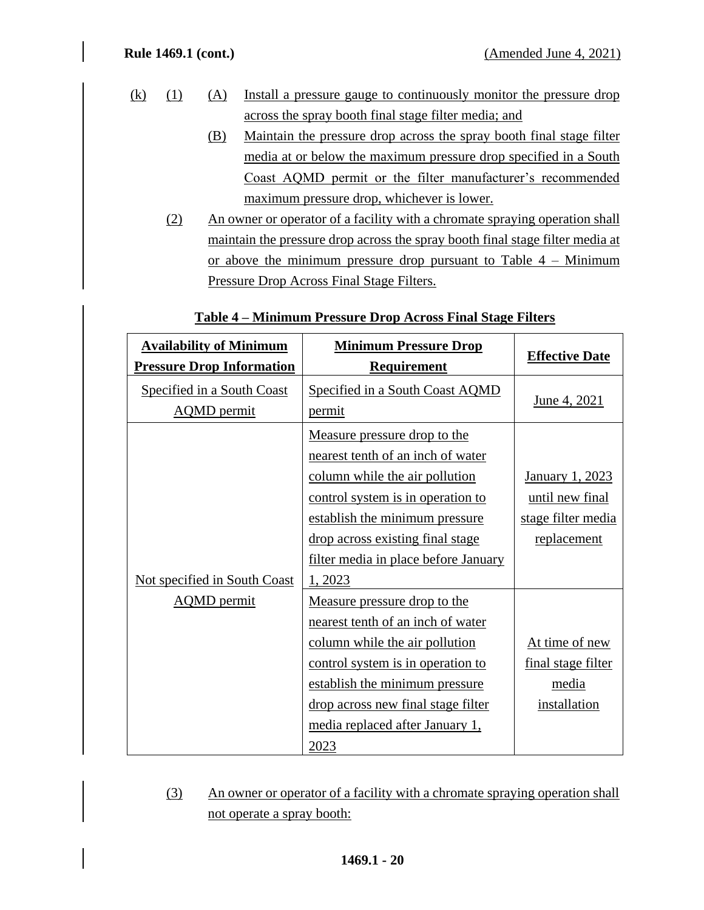- (k) (1) (A) Install a pressure gauge to continuously monitor the pressure drop across the spray booth final stage filter media; and
	- (B) Maintain the pressure drop across the spray booth final stage filter media at or below the maximum pressure drop specified in a South Coast AQMD permit or the filter manufacturer's recommended maximum pressure drop, whichever is lower.
	- (2) An owner or operator of a facility with a chromate spraying operation shall maintain the pressure drop across the spray booth final stage filter media at or above the minimum pressure drop pursuant to Table 4 – Minimum Pressure Drop Across Final Stage Filters.

| <b>Availability of Minimum</b><br><b>Pressure Drop Information</b> | <b>Minimum Pressure Drop</b><br><b>Requirement</b>                                                                                                                                                                                                                | <b>Effective Date</b>                                                   |
|--------------------------------------------------------------------|-------------------------------------------------------------------------------------------------------------------------------------------------------------------------------------------------------------------------------------------------------------------|-------------------------------------------------------------------------|
| Specified in a South Coast<br><b>AQMD</b> permit                   | Specified in a South Coast AQMD<br>permit                                                                                                                                                                                                                         | June 4, 2021                                                            |
| <b>Not specified in South Coast</b>                                | Measure pressure drop to the<br>nearest tenth of an inch of water<br>column while the air pollution<br>control system is in operation to<br>establish the minimum pressure<br>drop across existing final stage<br>filter media in place before January<br>1, 2023 | January 1, 2023<br>until new final<br>stage filter media<br>replacement |
| <b>AQMD</b> permit                                                 | Measure pressure drop to the<br>nearest tenth of an inch of water<br>column while the air pollution<br>control system is in operation to<br>establish the minimum pressure<br>drop across new final stage filter<br>media replaced after January 1,<br>2023       | At time of new<br>final stage filter<br>media<br>installation           |

## **Table 4 – Minimum Pressure Drop Across Final Stage Filters**

(3) An owner or operator of a facility with a chromate spraying operation shall not operate a spray booth: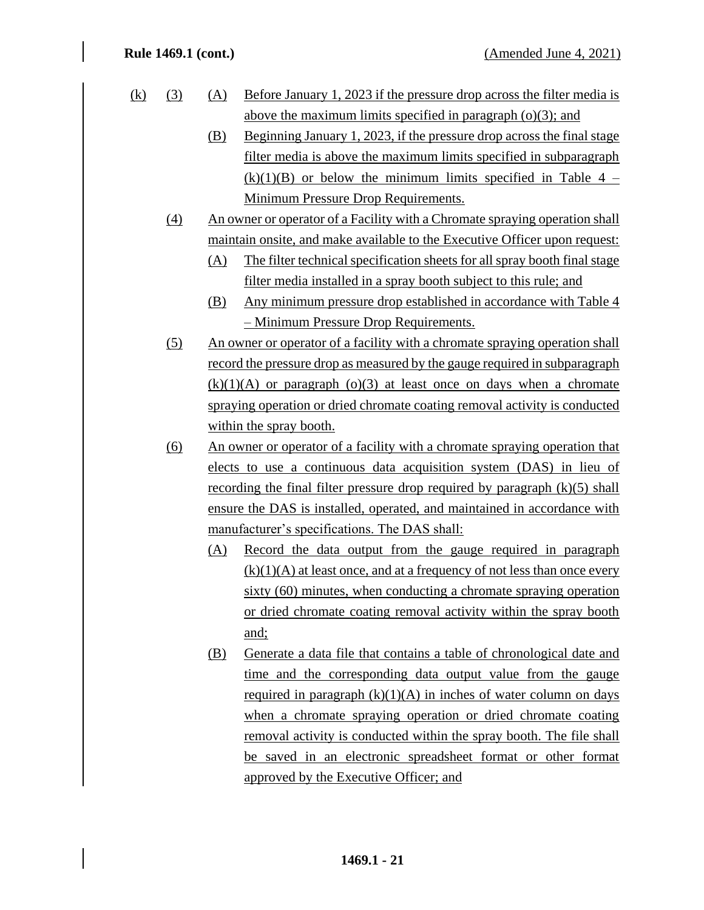| <u>(k)</u> |  | (A) Before January 1, 2023 if the pressure drop across the filter media is |
|------------|--|----------------------------------------------------------------------------|
|            |  | above the maximum limits specified in paragraph $(o)(3)$ ; and             |

- (B) Beginning January 1, 2023, if the pressure drop across the final stage filter media is above the maximum limits specified in subparagraph  $(k)(1)(B)$  or below the minimum limits specified in Table 4 – Minimum Pressure Drop Requirements.
- (4) An owner or operator of a Facility with a Chromate spraying operation shall maintain onsite, and make available to the Executive Officer upon request:
	- (A) The filter technical specification sheets for all spray booth final stage filter media installed in a spray booth subject to this rule; and
	- (B) Any minimum pressure drop established in accordance with Table 4 – Minimum Pressure Drop Requirements.
- (5) An owner or operator of a facility with a chromate spraying operation shall record the pressure drop as measured by the gauge required in subparagraph  $(k)(1)(A)$  or paragraph  $(o)(3)$  at least once on days when a chromate spraying operation or dried chromate coating removal activity is conducted within the spray booth.
- (6) An owner or operator of a facility with a chromate spraying operation that elects to use a continuous data acquisition system (DAS) in lieu of recording the final filter pressure drop required by paragraph  $(k)(5)$  shall ensure the DAS is installed, operated, and maintained in accordance with manufacturer's specifications. The DAS shall:
	- (A) Record the data output from the gauge required in paragraph  $(k)(1)(A)$  at least once, and at a frequency of not less than once every sixty (60) minutes, when conducting a chromate spraying operation or dried chromate coating removal activity within the spray booth and;
	- (B) Generate a data file that contains a table of chronological date and time and the corresponding data output value from the gauge required in paragraph  $(k)(1)(A)$  in inches of water column on days when a chromate spraying operation or dried chromate coating removal activity is conducted within the spray booth. The file shall be saved in an electronic spreadsheet format or other format approved by the Executive Officer; and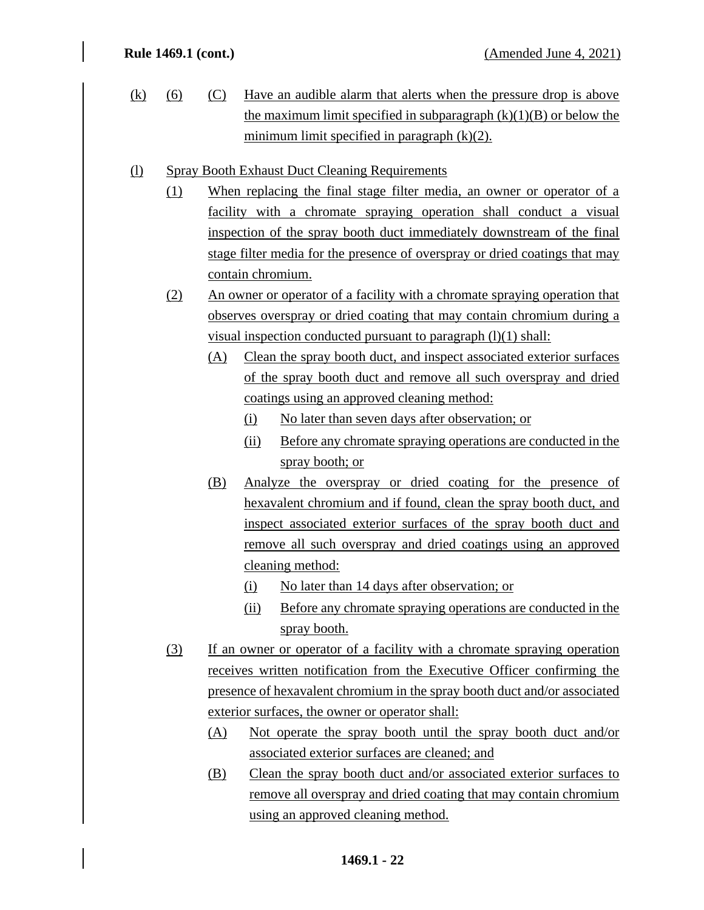- (k) (6) (C) Have an audible alarm that alerts when the pressure drop is above the maximum limit specified in subparagraph  $(k)(1)(B)$  or below the minimum limit specified in paragraph (k)(2).
- (l) Spray Booth Exhaust Duct Cleaning Requirements
	- (1) When replacing the final stage filter media, an owner or operator of a facility with a chromate spraying operation shall conduct a visual inspection of the spray booth duct immediately downstream of the final stage filter media for the presence of overspray or dried coatings that may contain chromium.
	- (2) An owner or operator of a facility with a chromate spraying operation that observes overspray or dried coating that may contain chromium during a visual inspection conducted pursuant to paragraph  $(l)(1)$  shall:
		- (A) Clean the spray booth duct, and inspect associated exterior surfaces of the spray booth duct and remove all such overspray and dried coatings using an approved cleaning method:
			- (i) No later than seven days after observation; or
			- (ii) Before any chromate spraying operations are conducted in the spray booth; or
		- (B) Analyze the overspray or dried coating for the presence of hexavalent chromium and if found, clean the spray booth duct, and inspect associated exterior surfaces of the spray booth duct and remove all such overspray and dried coatings using an approved cleaning method:
			- (i) No later than 14 days after observation; or
			- (ii) Before any chromate spraying operations are conducted in the spray booth.
	- (3) If an owner or operator of a facility with a chromate spraying operation receives written notification from the Executive Officer confirming the presence of hexavalent chromium in the spray booth duct and/or associated exterior surfaces, the owner or operator shall:
		- (A) Not operate the spray booth until the spray booth duct and/or associated exterior surfaces are cleaned; and
		- (B) Clean the spray booth duct and/or associated exterior surfaces to remove all overspray and dried coating that may contain chromium using an approved cleaning method.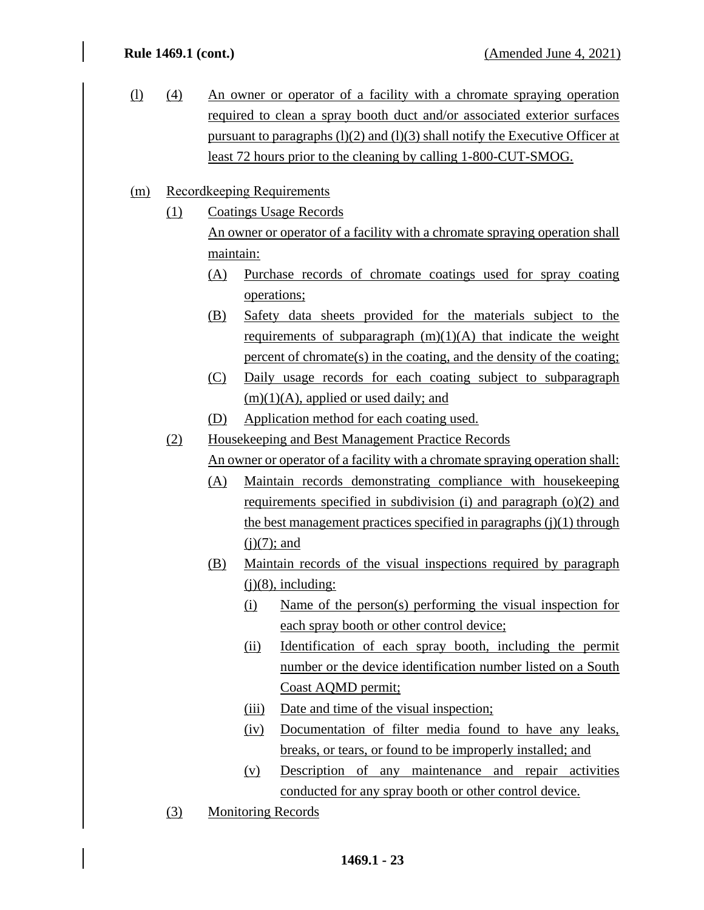(l) (4) An owner or operator of a facility with a chromate spraying operation required to clean a spray booth duct and/or associated exterior surfaces pursuant to paragraphs  $(1)(2)$  and  $(1)(3)$  shall notify the Executive Officer at least 72 hours prior to the cleaning by calling 1-800-CUT-SMOG.

## (m) Recordkeeping Requirements

- (1) Coatings Usage Records An owner or operator of a facility with a chromate spraying operation shall maintain:
	- (A) Purchase records of chromate coatings used for spray coating operations;
	- (B) Safety data sheets provided for the materials subject to the requirements of subparagraph  $(m)(1)(A)$  that indicate the weight percent of chromate(s) in the coating, and the density of the coating;
	- (C) Daily usage records for each coating subject to subparagraph  $(m)(1)(A)$ , applied or used daily; and
	- (D) Application method for each coating used.
- (2) Housekeeping and Best Management Practice Records

An owner or operator of a facility with a chromate spraying operation shall:

- (A) Maintain records demonstrating compliance with housekeeping requirements specified in subdivision (i) and paragraph (o)(2) and the best management practices specified in paragraphs  $(i)(1)$  through  $(i)(7)$ ; and
- (B) Maintain records of the visual inspections required by paragraph  $(i)(8)$ , including:
	- (i) Name of the person(s) performing the visual inspection for each spray booth or other control device;
	- (ii) Identification of each spray booth, including the permit number or the device identification number listed on a South Coast AQMD permit;
	- (iii) Date and time of the visual inspection;
	- (iv) Documentation of filter media found to have any leaks, breaks, or tears, or found to be improperly installed; and
	- (v) Description of any maintenance and repair activities conducted for any spray booth or other control device.
- (3) Monitoring Records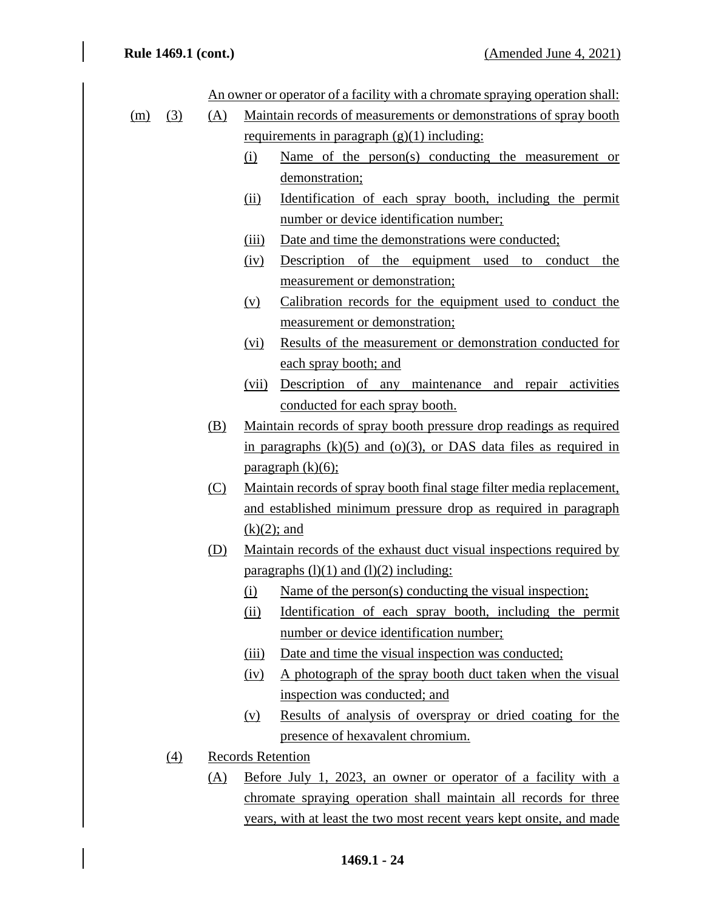|     |     |     |       | An owner or operator of a facility with a chromate spraying operation shall: |
|-----|-----|-----|-------|------------------------------------------------------------------------------|
| (m) | (3) | (A) |       | Maintain records of measurements or demonstrations of spray booth            |
|     |     |     |       | requirements in paragraph $(g)(1)$ including:                                |
|     |     |     | (i)   | Name of the person(s) conducting the measurement or                          |
|     |     |     |       | demonstration;                                                               |
|     |     |     | (ii)  | Identification of each spray booth, including the permit                     |
|     |     |     |       | number or device identification number;                                      |
|     |     |     | (iii) | Date and time the demonstrations were conducted;                             |
|     |     |     | (iv)  | Description of the equipment used to conduct<br>the                          |
|     |     |     |       | measurement or demonstration;                                                |
|     |     |     | (v)   | Calibration records for the equipment used to conduct the                    |
|     |     |     |       | measurement or demonstration;                                                |
|     |     |     | (vi)  | Results of the measurement or demonstration conducted for                    |
|     |     |     |       | each spray booth; and                                                        |
|     |     |     | (vii) | Description of any maintenance and repair activities                         |
|     |     |     |       | conducted for each spray booth.                                              |
|     |     | (B) |       | Maintain records of spray booth pressure drop readings as required           |
|     |     |     |       | in paragraphs $(k)(5)$ and $(o)(3)$ , or DAS data files as required in       |
|     |     |     |       | paragraph $(k)(6)$ ;                                                         |
|     |     | (C) |       | Maintain records of spray booth final stage filter media replacement,        |
|     |     |     |       | and established minimum pressure drop as required in paragraph               |
|     |     |     |       | $(k)(2)$ ; and                                                               |
|     |     | (D) |       | Maintain records of the exhaust duct visual inspections required by          |
|     |     |     |       | paragraphs $(l)(1)$ and $(l)(2)$ including:                                  |
|     |     |     | (i)   | Name of the person(s) conducting the visual inspection;                      |
|     |     |     | (ii)  | <u>Identification of each spray booth, including the permit</u>              |
|     |     |     |       | number or device identification number;                                      |
|     |     |     | (iii) | Date and time the visual inspection was conducted;                           |
|     |     |     | (iv)  | A photograph of the spray booth duct taken when the visual                   |
|     |     |     |       | inspection was conducted; and                                                |
|     |     |     | (v)   | Results of analysis of overspray or dried coating for the                    |
|     |     |     |       | presence of hexavalent chromium.                                             |
|     | (4) |     |       | <b>Records Retention</b>                                                     |
|     |     | (A) |       | Before July 1, 2023, an owner or operator of a facility with a               |
|     |     |     |       | chromate spraying operation shall maintain all records for three             |
|     |     |     |       | years, with at least the two most recent years kept onsite, and made         |
|     |     |     |       |                                                                              |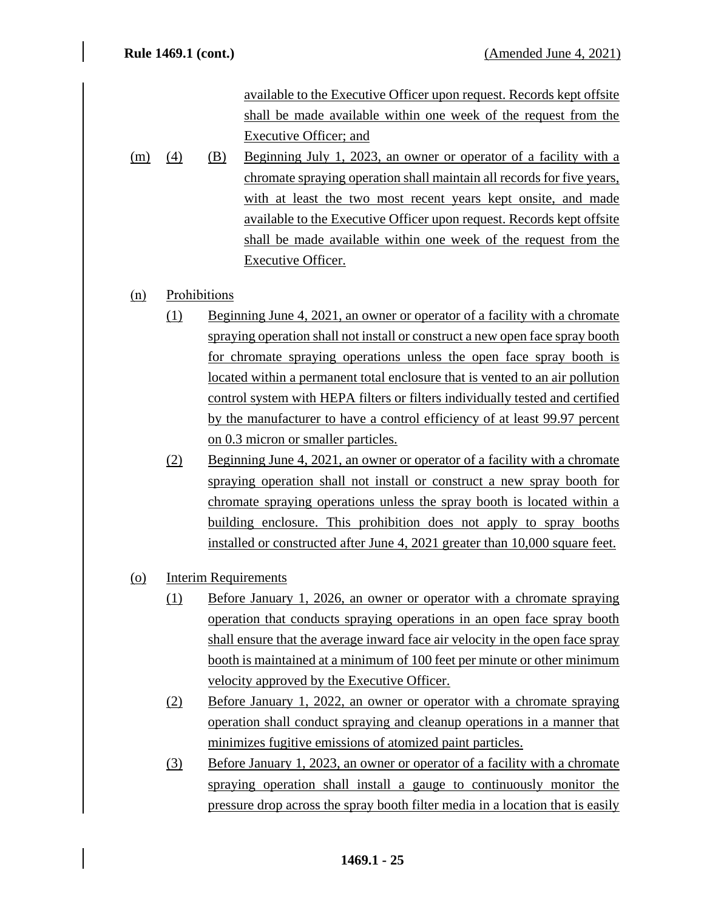available to the Executive Officer upon request. Records kept offsite shall be made available within one week of the request from the Executive Officer; and

(m) (4) (B) Beginning July 1, 2023, an owner or operator of a facility with a chromate spraying operation shall maintain all records for five years, with at least the two most recent years kept onsite, and made available to the Executive Officer upon request. Records kept offsite shall be made available within one week of the request from the Executive Officer.

## (n) Prohibitions

- (1) Beginning June 4, 2021, an owner or operator of a facility with a chromate spraying operation shall not install or construct a new open face spray booth for chromate spraying operations unless the open face spray booth is located within a permanent total enclosure that is vented to an air pollution control system with HEPA filters or filters individually tested and certified by the manufacturer to have a control efficiency of at least 99.97 percent on 0.3 micron or smaller particles.
- (2) Beginning June 4, 2021, an owner or operator of a facility with a chromate spraying operation shall not install or construct a new spray booth for chromate spraying operations unless the spray booth is located within a building enclosure. This prohibition does not apply to spray booths installed or constructed after June 4, 2021 greater than 10,000 square feet.
- (o) Interim Requirements
	- (1) Before January 1, 2026, an owner or operator with a chromate spraying operation that conducts spraying operations in an open face spray booth shall ensure that the average inward face air velocity in the open face spray booth is maintained at a minimum of 100 feet per minute or other minimum velocity approved by the Executive Officer.
	- (2) Before January 1, 2022, an owner or operator with a chromate spraying operation shall conduct spraying and cleanup operations in a manner that minimizes fugitive emissions of atomized paint particles.
	- (3) Before January 1, 2023, an owner or operator of a facility with a chromate spraying operation shall install a gauge to continuously monitor the pressure drop across the spray booth filter media in a location that is easily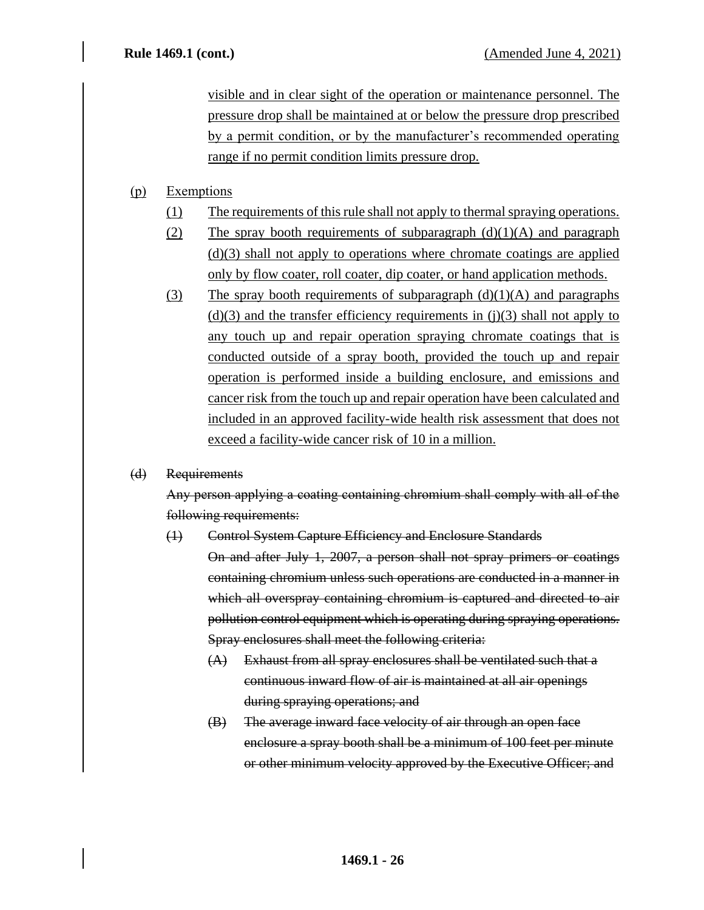visible and in clear sight of the operation or maintenance personnel. The pressure drop shall be maintained at or below the pressure drop prescribed by a permit condition, or by the manufacturer's recommended operating range if no permit condition limits pressure drop.

## (p) Exemptions

- (1) The requirements of this rule shall not apply to thermal spraying operations.
- (2) The spray booth requirements of subparagraph  $(d)(1)(A)$  and paragraph (d)(3) shall not apply to operations where chromate coatings are applied only by flow coater, roll coater, dip coater, or hand application methods.
- (3) The spray booth requirements of subparagraph  $(d)(1)(A)$  and paragraphs  $(d)(3)$  and the transfer efficiency requirements in (j)(3) shall not apply to any touch up and repair operation spraying chromate coatings that is conducted outside of a spray booth, provided the touch up and repair operation is performed inside a building enclosure, and emissions and cancer risk from the touch up and repair operation have been calculated and included in an approved facility-wide health risk assessment that does not exceed a facility-wide cancer risk of 10 in a million.

## (d) Requirements

Any person applying a coating containing chromium shall comply with all of the following requirements:

(1) Control System Capture Efficiency and Enclosure Standards

On and after July 1, 2007, a person shall not spray primers or coatings containing chromium unless such operations are conducted in a manner in which all overspray containing chromium is captured and directed to air pollution control equipment which is operating during spraying operations. Spray enclosures shall meet the following criteria:

- (A) Exhaust from all spray enclosures shall be ventilated such that a continuous inward flow of air is maintained at all air openings during spraying operations; and
- (B) The average inward face velocity of air through an open face enclosure a spray booth shall be a minimum of 100 feet per minute or other minimum velocity approved by the Executive Officer; and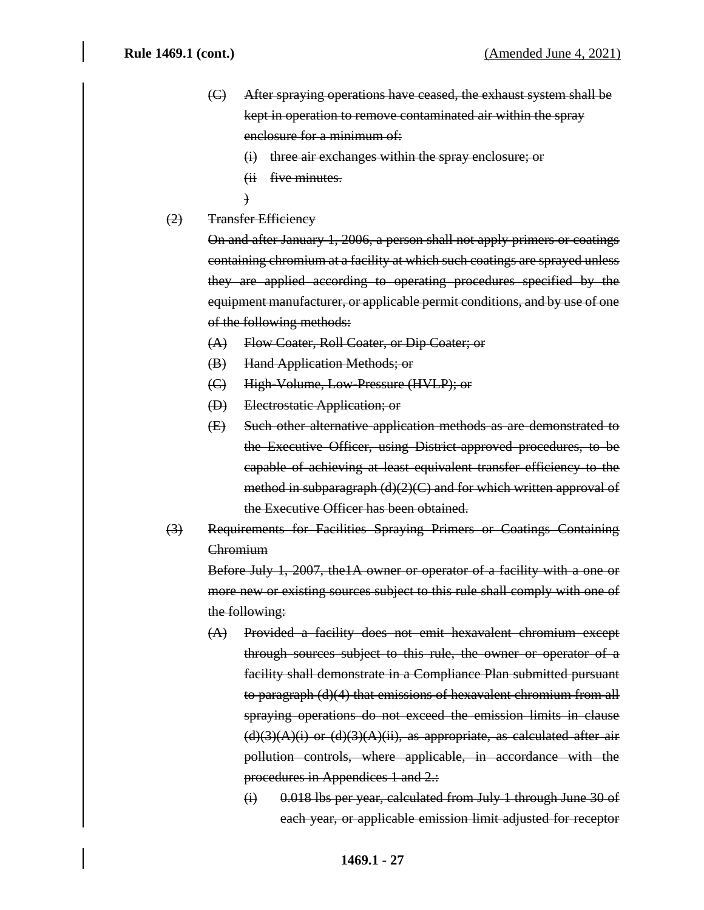- (C) After spraying operations have ceased, the exhaust system shall be kept in operation to remove contaminated air within the spray enclosure for a minimum of:
	- (i) three air exchanges within the spray enclosure; or
	- (ii five minutes.
	- )
- (2) Transfer Efficiency

On and after January 1, 2006, a person shall not apply primers or coatings containing chromium at a facility at which such coatings are sprayed unless they are applied according to operating procedures specified by the equipment manufacturer, or applicable permit conditions, and by use of one of the following methods:

- (A) Flow Coater, Roll Coater, or Dip Coater; or
- (B) Hand Application Methods; or
- (C) High-Volume, Low-Pressure (HVLP); or
- (D) Electrostatic Application; or
- (E) Such other alternative application methods as are demonstrated to the Executive Officer, using District-approved procedures, to be capable of achieving at least equivalent transfer efficiency to the method in subparagraph (d)(2)(C) and for which written approval of the Executive Officer has been obtained.
- (3) Requirements for Facilities Spraying Primers or Coatings Containing **Chromium**

Before July 1, 2007, the1A owner or operator of a facility with a one or more new or existing sources subject to this rule shall comply with one of the following:

- (A) Provided a facility does not emit hexavalent chromium except through sources subject to this rule, the owner or operator of a facility shall demonstrate in a Compliance Plan submitted pursuant to paragraph (d)(4) that emissions of hexavalent chromium from all spraying operations do not exceed the emission limits in clause  $(d)(3)(A)(i)$  or  $(d)(3)(A)(ii)$ , as appropriate, as calculated after air pollution controls, where applicable, in accordance with the procedures in Appendices 1 and 2.:
	- (i) 0.018 lbs per year, calculated from July 1 through June 30 of each year, or applicable emission limit adjusted for receptor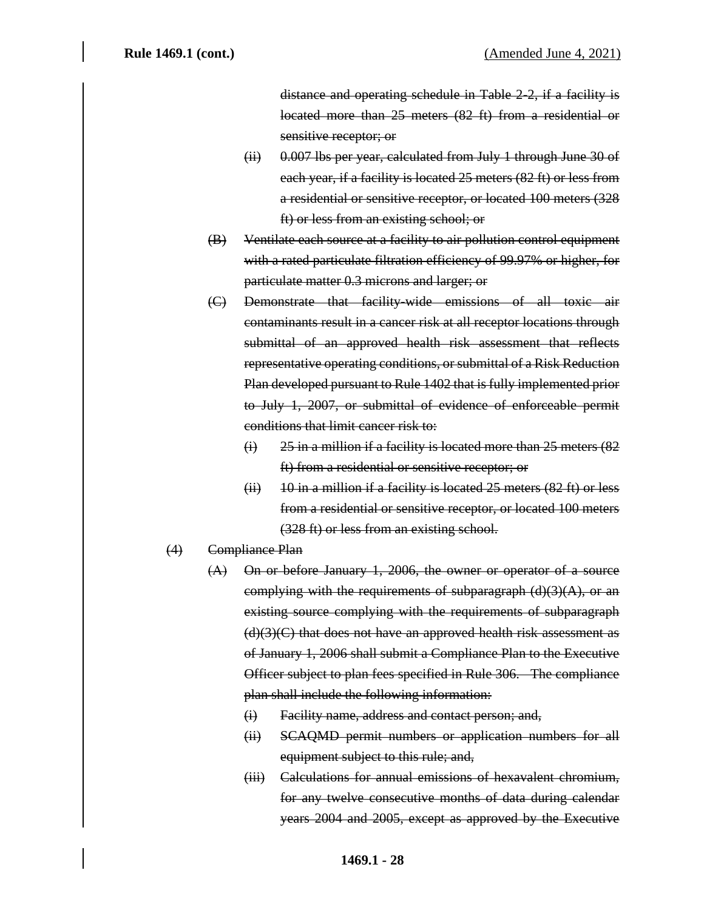distance and operating schedule in Table 2-2, if a facility is located more than 25 meters (82 ft) from a residential or sensitive receptor; or

- (ii) 0.007 lbs per year, calculated from July 1 through June 30 of each year, if a facility is located 25 meters (82 ft) or less from a residential or sensitive receptor, or located 100 meters (328 ft) or less from an existing school; or
- (B) Ventilate each source at a facility to air pollution control equipment with a rated particulate filtration efficiency of 99.97% or higher, for particulate matter 0.3 microns and larger; or
- (C) Demonstrate that facility-wide emissions of all toxic air contaminants result in a cancer risk at all receptor locations through submittal of an approved health risk assessment that reflects representative operating conditions, or submittal of a Risk Reduction Plan developed pursuant to Rule 1402 that is fully implemented prior to July 1, 2007, or submittal of evidence of enforceable permit conditions that limit cancer risk to:
	- $(i)$  25 in a million if a facility is located more than 25 meters  $(82)$ ft) from a residential or sensitive receptor; or
	- $(ii)$  10 in a million if a facility is located 25 meters  $(82 \text{ ft})$  or less from a residential or sensitive receptor, or located 100 meters (328 ft) or less from an existing school.
- (4) Compliance Plan
	- (A) On or before January 1, 2006, the owner or operator of a source complying with the requirements of subparagraph  $(d)(3)(A)$ , or an existing source complying with the requirements of subparagraph  $(d)(3)(C)$  that does not have an approved health risk assessment as of January 1, 2006 shall submit a Compliance Plan to the Executive Officer subject to plan fees specified in Rule 306. The compliance plan shall include the following information:
		- (i) Facility name, address and contact person; and,
		- (ii) SCAQMD permit numbers or application numbers for all equipment subject to this rule; and,
		- (iii) Calculations for annual emissions of hexavalent chromium, for any twelve consecutive months of data during calendar years 2004 and 2005, except as approved by the Executive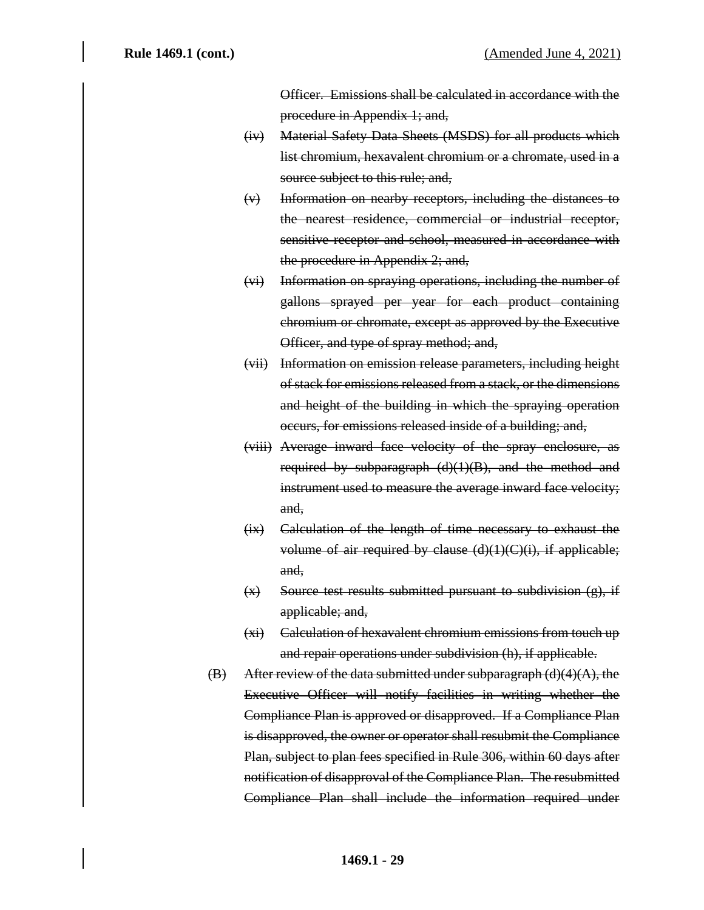Officer. Emissions shall be calculated in accordance with the procedure in Appendix 1; and,

- (iv) Material Safety Data Sheets (MSDS) for all products which list chromium, hexavalent chromium or a chromate, used in a source subject to this rule; and,
- (v) Information on nearby receptors, including the distances to the nearest residence, commercial or industrial receptor, sensitive receptor and school, measured in accordance with the procedure in Appendix 2; and,
- (vi) Information on spraying operations, including the number of gallons sprayed per year for each product containing chromium or chromate, except as approved by the Executive Officer, and type of spray method; and,
- (vii) Information on emission release parameters, including height of stack for emissions released from a stack, or the dimensions and height of the building in which the spraying operation occurs, for emissions released inside of a building; and,
- (viii) Average inward face velocity of the spray enclosure, as required by subparagraph (d)(1)(B), and the method and instrument used to measure the average inward face velocity; and,
- (ix) Calculation of the length of time necessary to exhaust the volume of air required by clause (d)(1)(C)(i), if applicable; and,
- $(x)$  Source test results submitted pursuant to subdivision  $(g)$ , if applicable; and,
- (xi) Calculation of hexavalent chromium emissions from touch up and repair operations under subdivision (h), if applicable.
- $(B)$  After review of the data submitted under subparagraph  $(d)(4)(A)$ , the Executive Officer will notify facilities in writing whether the Compliance Plan is approved or disapproved. If a Compliance Plan is disapproved, the owner or operator shall resubmit the Compliance Plan, subject to plan fees specified in Rule 306, within 60 days after notification of disapproval of the Compliance Plan. The resubmitted Compliance Plan shall include the information required under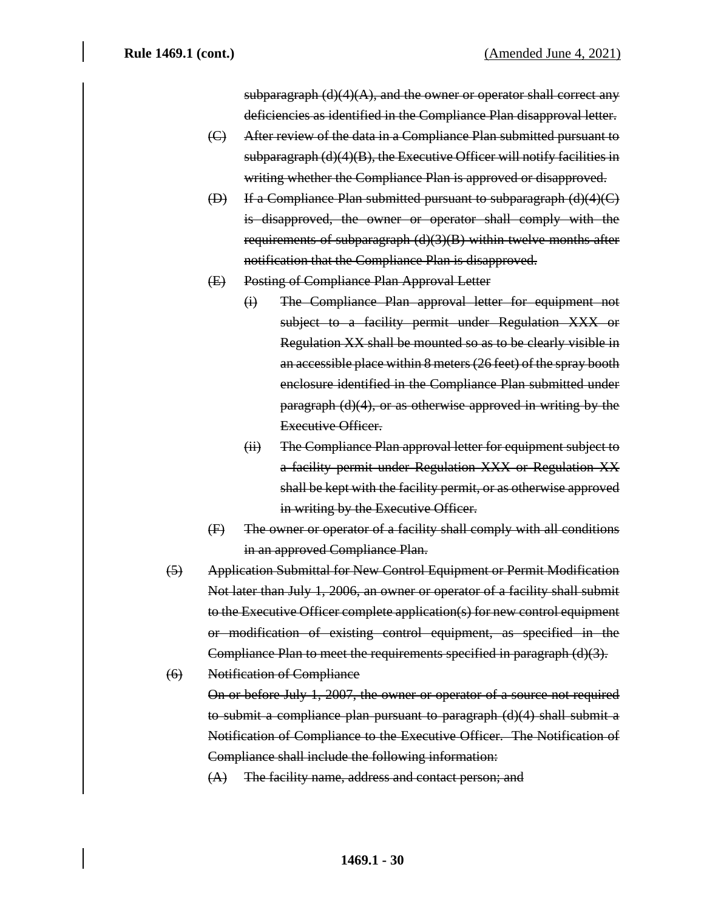subparagraph  $(d)(4)(A)$ , and the owner or operator shall correct any deficiencies as identified in the Compliance Plan disapproval letter.

- (C) After review of the data in a Compliance Plan submitted pursuant to subparagraph  $(d)(4)(B)$ , the Executive Officer will notify facilities in writing whether the Compliance Plan is approved or disapproved.
- (D) If a Compliance Plan submitted pursuant to subparagraph (d)(4)(C) is disapproved, the owner or operator shall comply with the requirements of subparagraph (d)(3)(B) within twelve months after notification that the Compliance Plan is disapproved.
- (E) Posting of Compliance Plan Approval Letter
	- (i) The Compliance Plan approval letter for equipment not subject to a facility permit under Regulation XXX or Regulation XX shall be mounted so as to be clearly visible in an accessible place within 8 meters (26 feet) of the spray booth enclosure identified in the Compliance Plan submitted under paragraph (d)(4), or as otherwise approved in writing by the Executive Officer.
	- (ii) The Compliance Plan approval letter for equipment subject to a facility permit under Regulation XXX or Regulation XX shall be kept with the facility permit, or as otherwise approved in writing by the Executive Officer.
- (F) The owner or operator of a facility shall comply with all conditions in an approved Compliance Plan.
- (5) Application Submittal for New Control Equipment or Permit Modification Not later than July 1, 2006, an owner or operator of a facility shall submit to the Executive Officer complete application(s) for new control equipment or modification of existing control equipment, as specified in the Compliance Plan to meet the requirements specified in paragraph (d)(3).
- (6) Notification of Compliance

On or before July 1, 2007, the owner or operator of a source not required to submit a compliance plan pursuant to paragraph (d)(4) shall submit a Notification of Compliance to the Executive Officer. The Notification of Compliance shall include the following information:

(A) The facility name, address and contact person; and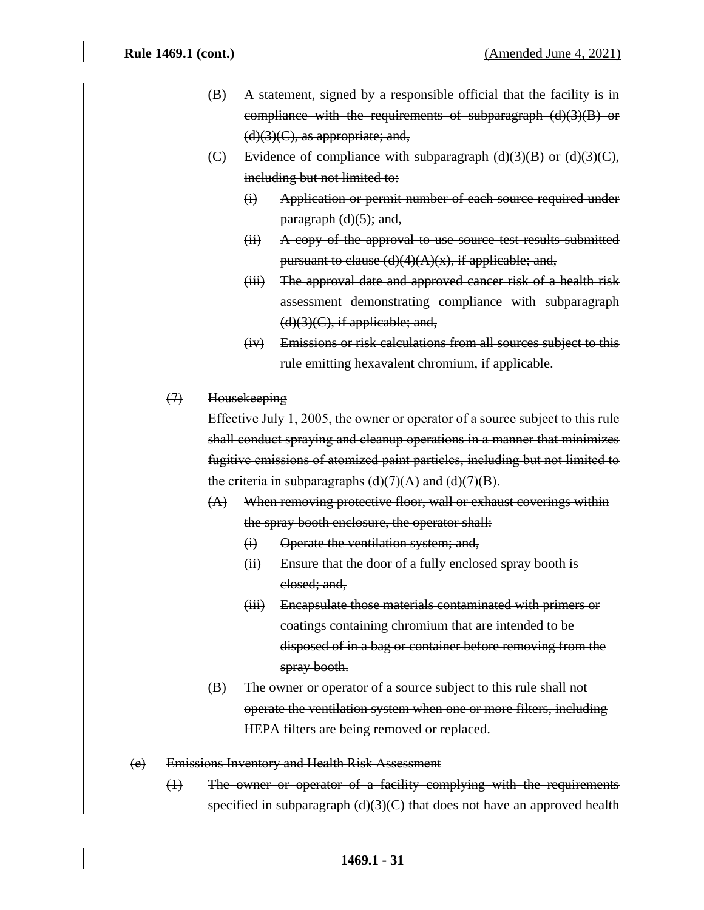- (B) A statement, signed by a responsible official that the facility is in compliance with the requirements of subparagraph (d)(3)(B) or  $(d)(3)(C)$ , as appropriate; and,
- (C) Evidence of compliance with subparagraph  $(d)(3)(B)$  or  $(d)(3)(C)$ , including but not limited to:
	- (i) Application or permit number of each source required under  $\text{paragnh (d)(5)}$ ; and,
	- (ii) A copy of the approval to use source test results submitted pursuant to clause  $(d)(4)(A)(x)$ , if applicable; and,
	- (iii) The approval date and approved cancer risk of a health risk assessment demonstrating compliance with subparagraph  $(d)(3)(C)$ , if applicable; and,
	- (iv) Emissions or risk calculations from all sources subject to this rule emitting hexavalent chromium, if applicable.
- (7) Housekeeping

Effective July 1, 2005, the owner or operator of a source subject to this rule shall conduct spraying and cleanup operations in a manner that minimizes fugitive emissions of atomized paint particles, including but not limited to the criteria in subparagraphs  $(d)(7)(A)$  and  $(d)(7)(B)$ .

- (A) When removing protective floor, wall or exhaust coverings within the spray booth enclosure, the operator shall:
	- (i) Operate the ventilation system; and,
	- (ii) Ensure that the door of a fully enclosed spray booth is closed; and,
	- (iii) Encapsulate those materials contaminated with primers or coatings containing chromium that are intended to be disposed of in a bag or container before removing from the spray booth.
- (B) The owner or operator of a source subject to this rule shall not operate the ventilation system when one or more filters, including HEPA filters are being removed or replaced.
- (e) Emissions Inventory and Health Risk Assessment
	- (1) The owner or operator of a facility complying with the requirements specified in subparagraph (d)(3)(C) that does not have an approved health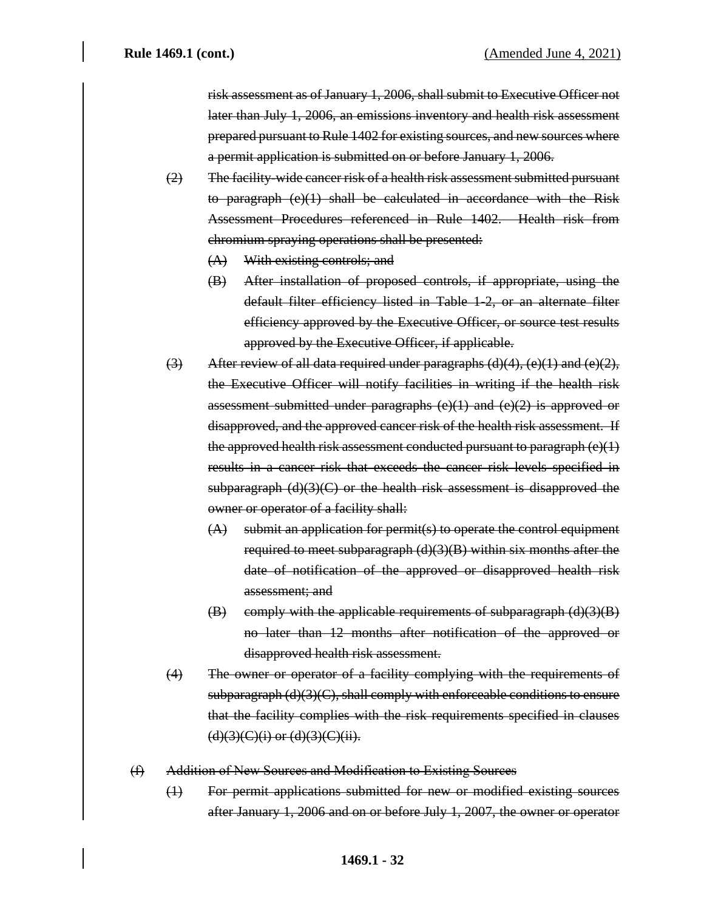risk assessment as of January 1, 2006, shall submit to Executive Officer not later than July 1, 2006, an emissions inventory and health risk assessment prepared pursuant to Rule 1402 for existing sources, and new sources where a permit application is submitted on or before January 1, 2006.

- (2) The facility-wide cancer risk of a health risk assessment submitted pursuant to paragraph (e)(1) shall be calculated in accordance with the Risk Assessment Procedures referenced in Rule 1402. Health risk from chromium spraying operations shall be presented:
	- (A) With existing controls; and
	- (B) After installation of proposed controls, if appropriate, using the default filter efficiency listed in Table 1-2, or an alternate filter efficiency approved by the Executive Officer, or source test results approved by the Executive Officer, if applicable.
- (3) After review of all data required under paragraphs  $(d)(4)$ ,  $(e)(1)$  and  $(e)(2)$ , the Executive Officer will notify facilities in writing if the health risk assessment submitted under paragraphs  $(e)(1)$  and  $(e)(2)$  is approved or disapproved, and the approved cancer risk of the health risk assessment. If the approved health risk assessment conducted pursuant to paragraph  $(e)(1)$ results in a cancer risk that exceeds the cancer risk levels specified in subparagraph (d)(3)(C) or the health risk assessment is disapproved the owner or operator of a facility shall:
	- (A) submit an application for permit(s) to operate the control equipment required to meet subparagraph  $(d)(3)(B)$  within six months after the date of notification of the approved or disapproved health risk assessment; and
	- $(B)$  comply with the applicable requirements of subparagraph  $(d)(3)(B)$ no later than 12 months after notification of the approved or disapproved health risk assessment.
- (4) The owner or operator of a facility complying with the requirements of subparagraph (d)(3)(C), shall comply with enforceable conditions to ensure that the facility complies with the risk requirements specified in clauses  $(d)(3)(C)(i)$  or  $(d)(3)(C)(ii)$ .
- (f) Addition of New Sources and Modification to Existing Sources
	- (1) For permit applications submitted for new or modified existing sources after January 1, 2006 and on or before July 1, 2007, the owner or operator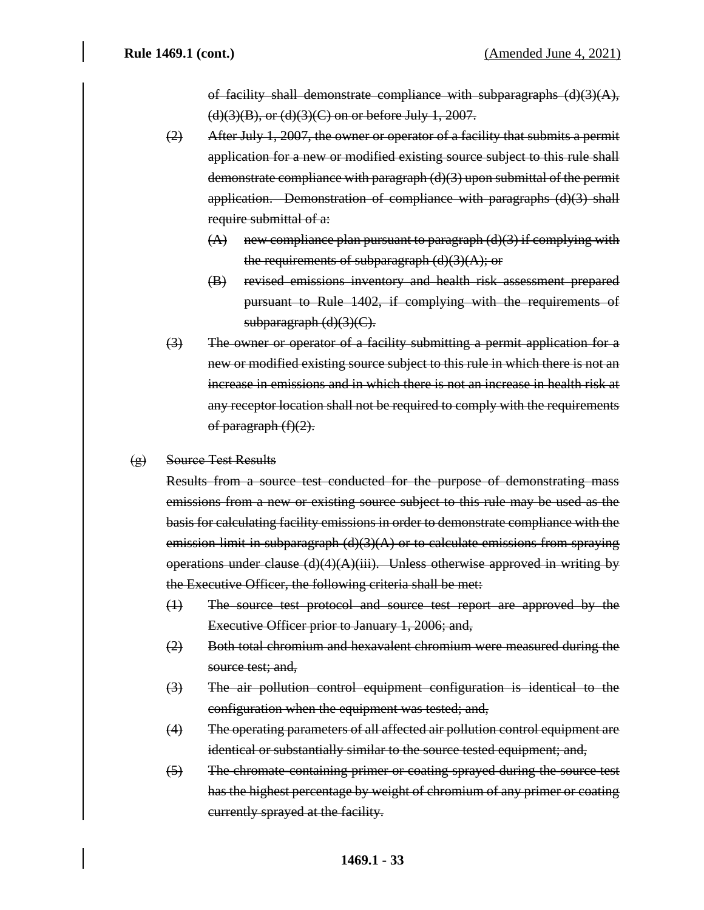of facility shall demonstrate compliance with subparagraphs  $(d)(3)(A)$ ,  $(d)(3)(B)$ , or  $(d)(3)(C)$  on or before July 1, 2007.

- (2) After July 1, 2007, the owner or operator of a facility that submits a permit application for a new or modified existing source subject to this rule shall demonstrate compliance with paragraph (d)(3) upon submittal of the permit application. Demonstration of compliance with paragraphs (d)(3) shall require submittal of a:
	- $(A)$  new compliance plan pursuant to paragraph  $(d)(3)$  if complying with the requirements of subparagraph  $(d)(3)(A)$ ; or
	- (B) revised emissions inventory and health risk assessment prepared pursuant to Rule 1402, if complying with the requirements of subparagraph (d)(3)(C).
- (3) The owner or operator of a facility submitting a permit application for a new or modified existing source subject to this rule in which there is not an increase in emissions and in which there is not an increase in health risk at any receptor location shall not be required to comply with the requirements of paragraph  $(f)(2)$ .
- (g) Source Test Results

Results from a source test conducted for the purpose of demonstrating mass emissions from a new or existing source subject to this rule may be used as the basis for calculating facility emissions in order to demonstrate compliance with the emission limit in subparagraph  $(d)(3)(A)$  or to calculate emissions from spraying operations under clause  $(d)(4)(A)(iii)$ . Unless otherwise approved in writing by the Executive Officer, the following criteria shall be met:

- (1) The source test protocol and source test report are approved by the Executive Officer prior to January 1, 2006; and,
- (2) Both total chromium and hexavalent chromium were measured during the source test; and,
- (3) The air pollution control equipment configuration is identical to the configuration when the equipment was tested; and,
- (4) The operating parameters of all affected air pollution control equipment are identical or substantially similar to the source tested equipment; and,
- (5) The chromate-containing primer or coating sprayed during the source test has the highest percentage by weight of chromium of any primer or coating currently sprayed at the facility.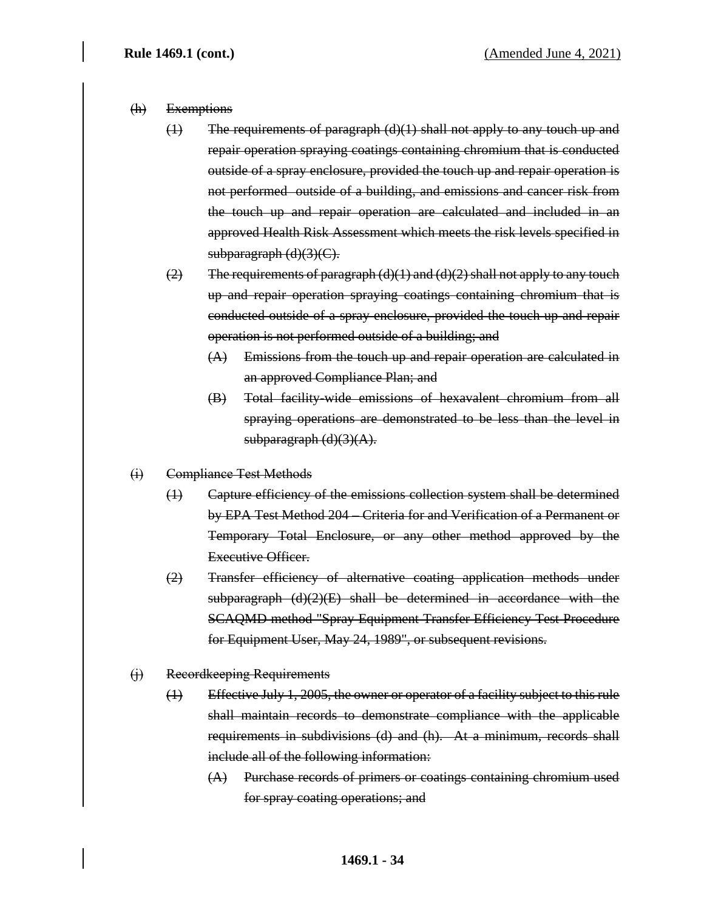#### (h) Exemptions

- (1) The requirements of paragraph (d)(1) shall not apply to any touch up and repair operation spraying coatings containing chromium that is conducted outside of a spray enclosure, provided the touch up and repair operation is not performed outside of a building, and emissions and cancer risk from the touch up and repair operation are calculated and included in an approved Health Risk Assessment which meets the risk levels specified in subparagraph (d)(3)(C).
- $(2)$  The requirements of paragraph  $(d)(1)$  and  $(d)(2)$  shall not apply to any touch up and repair operation spraying coatings containing chromium that is conducted outside of a spray enclosure, provided the touch up and repair operation is not performed outside of a building; and
	- (A) Emissions from the touch up and repair operation are calculated in an approved Compliance Plan; and
	- (B) Total facility-wide emissions of hexavalent chromium from all spraying operations are demonstrated to be less than the level in  $subparagraph (d)(3)(A).$
- (i) Compliance Test Methods
	- (1) Capture efficiency of the emissions collection system shall be determined by EPA Test Method 204 – Criteria for and Verification of a Permanent or Temporary Total Enclosure, or any other method approved by the Executive Officer.
	- (2) Transfer efficiency of alternative coating application methods under subparagraph (d)(2)(E) shall be determined in accordance with the SCAQMD method "Spray Equipment Transfer Efficiency Test Procedure for Equipment User, May 24, 1989", or subsequent revisions.

#### (j) Recordkeeping Requirements

- (1) Effective July 1, 2005, the owner or operator of a facility subject to this rule shall maintain records to demonstrate compliance with the applicable requirements in subdivisions (d) and (h). At a minimum, records shall include all of the following information:
	- (A) Purchase records of primers or coatings containing chromium used for spray coating operations; and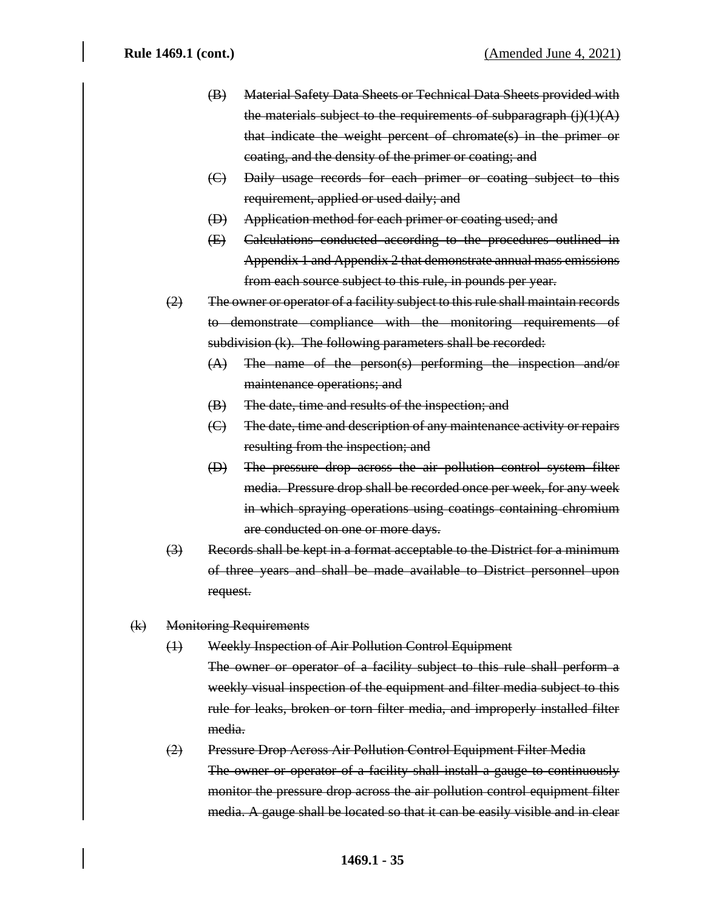- (B) Material Safety Data Sheets or Technical Data Sheets provided with the materials subject to the requirements of subparagraph  $(j)(1)(A)$ that indicate the weight percent of chromate(s) in the primer or coating, and the density of the primer or coating; and
- (C) Daily usage records for each primer or coating subject to this requirement, applied or used daily; and
- (D) Application method for each primer or coating used; and
- (E) Calculations conducted according to the procedures outlined in Appendix 1 and Appendix 2 that demonstrate annual mass emissions from each source subject to this rule, in pounds per year.
- (2) The owner or operator of a facility subject to this rule shall maintain records to demonstrate compliance with the monitoring requirements of subdivision (k). The following parameters shall be recorded:
	- (A) The name of the person(s) performing the inspection and/or maintenance operations; and
	- (B) The date, time and results of the inspection; and
	- (C) The date, time and description of any maintenance activity or repairs resulting from the inspection; and
	- (D) The pressure drop across the air pollution control system filter media. Pressure drop shall be recorded once per week, for any week in which spraying operations using coatings containing chromium are conducted on one or more days.
- (3) Records shall be kept in a format acceptable to the District for a minimum of three years and shall be made available to District personnel upon request.
- (k) Monitoring Requirements
	- (1) Weekly Inspection of Air Pollution Control Equipment

The owner or operator of a facility subject to this rule shall perform a weekly visual inspection of the equipment and filter media subject to this rule for leaks, broken or torn filter media, and improperly installed filter media.

# (2) Pressure Drop Across Air Pollution Control Equipment Filter Media The owner or operator of a facility shall install a gauge to continuously monitor the pressure drop across the air pollution control equipment filter media. A gauge shall be located so that it can be easily visible and in clear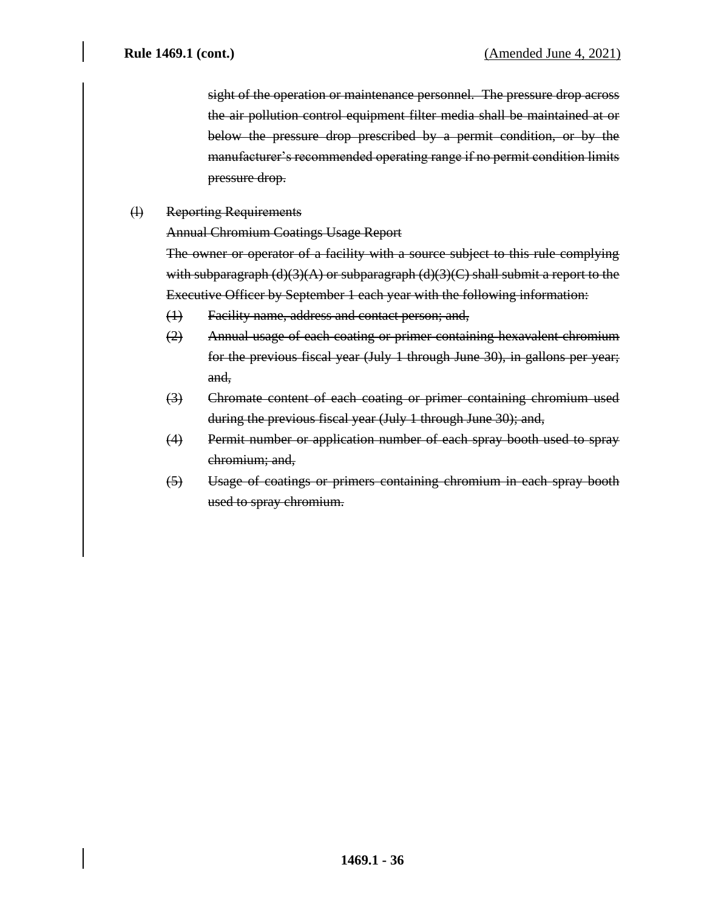sight of the operation or maintenance personnel. The pressure drop across the air pollution control equipment filter media shall be maintained at or below the pressure drop prescribed by a permit condition, or by the manufacturer's recommended operating range if no permit condition limits pressure drop.

(l) Reporting Requirements

Annual Chromium Coatings Usage Report

The owner or operator of a facility with a source subject to this rule complying with subparagraph (d)(3)(A) or subparagraph (d)(3)(C) shall submit a report to the Executive Officer by September 1 each year with the following information:

- (1) Facility name, address and contact person; and,
- (2) Annual usage of each coating or primer containing hexavalent chromium for the previous fiscal year (July 1 through June 30), in gallons per year; and,
- (3) Chromate content of each coating or primer containing chromium used during the previous fiscal year (July 1 through June 30); and,
- (4) Permit number or application number of each spray booth used to spray chromium; and,
- (5) Usage of coatings or primers containing chromium in each spray booth used to spray chromium.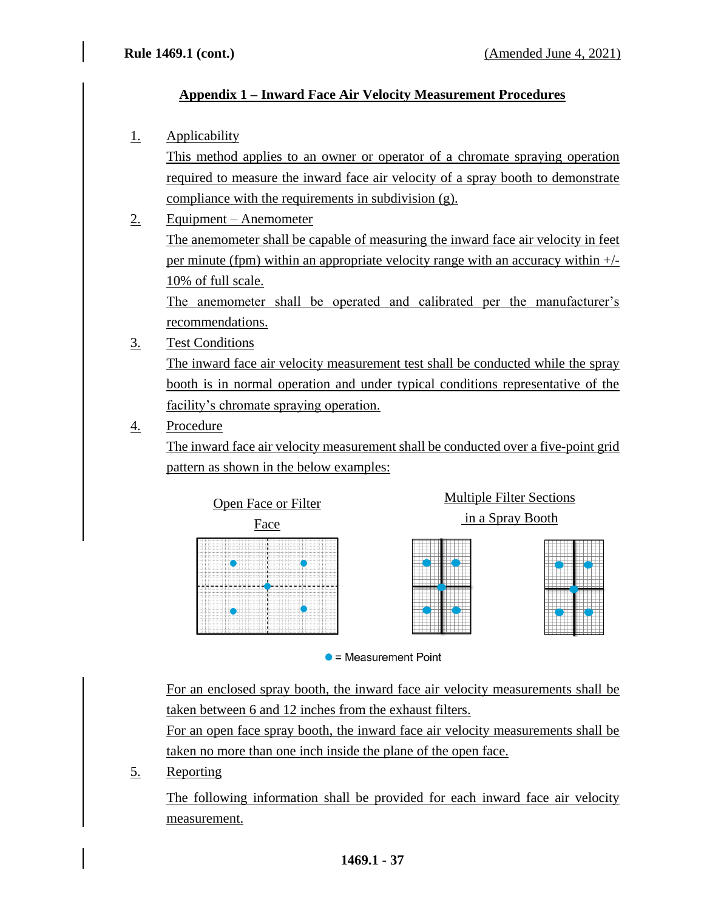# **Appendix 1 – Inward Face Air Velocity Measurement Procedures**

## 1. Applicability

This method applies to an owner or operator of a chromate spraying operation required to measure the inward face air velocity of a spray booth to demonstrate compliance with the requirements in subdivision (g).

- 2. Equipment Anemometer The anemometer shall be capable of measuring the inward face air velocity in feet per minute (fpm) within an appropriate velocity range with an accuracy within +/- 10% of full scale. The anemometer shall be operated and calibrated per the manufacturer's recommendations.
- 3. Test Conditions

The inward face air velocity measurement test shall be conducted while the spray booth is in normal operation and under typical conditions representative of the facility's chromate spraying operation.

# 4. Procedure

The inward face air velocity measurement shall be conducted over a five-point grid pattern as shown in the below examples:



 $\bullet$  = Measurement Point

For an enclosed spray booth, the inward face air velocity measurements shall be taken between 6 and 12 inches from the exhaust filters.

For an open face spray booth, the inward face air velocity measurements shall be taken no more than one inch inside the plane of the open face.

5. Reporting

The following information shall be provided for each inward face air velocity measurement.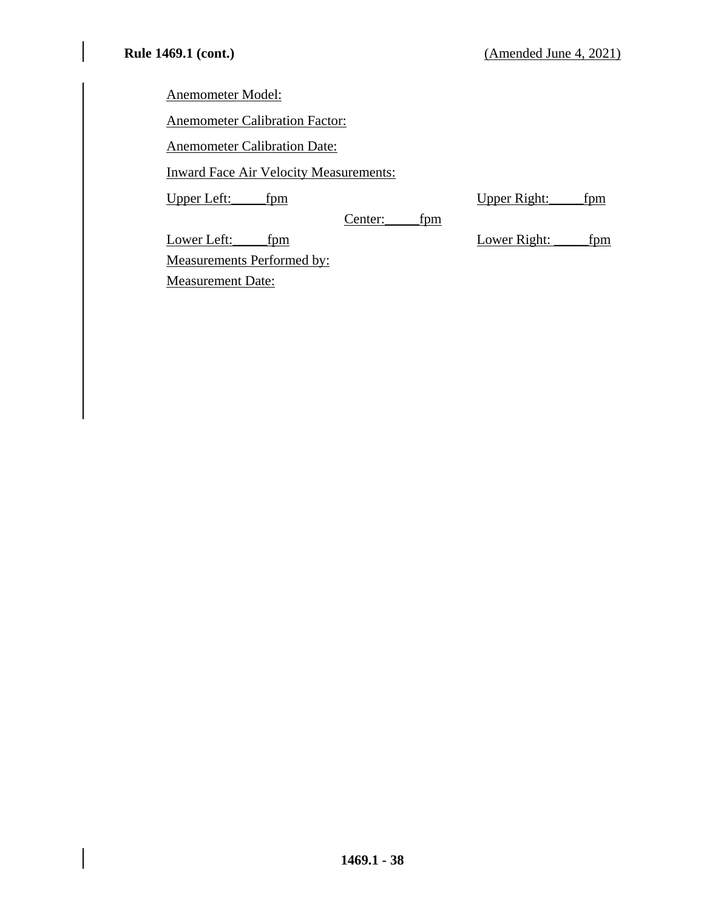Anemometer Model:

Anemometer Calibration Factor:

Anemometer Calibration Date:

Inward Face Air Velocity Measurements:

Upper Left: \_\_\_\_fpm Upper Right: \_\_\_\_fpm

Center:\_\_\_\_\_fpm

Lower Left: \_\_\_\_\_fpm Lower Right: \_\_\_\_\_fpm

Measurements Performed by: Measurement Date: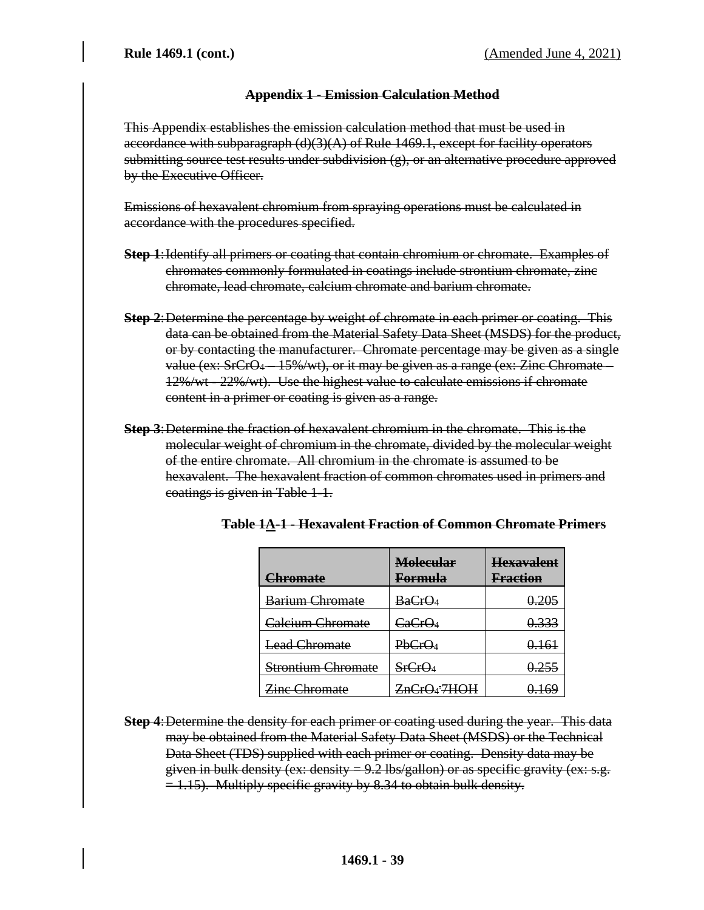## **Appendix 1 - Emission Calculation Method**

This Appendix establishes the emission calculation method that must be used in accordance with subparagraph  $(d)(3)(A)$  of Rule 1469.1, except for facility operators submitting source test results under subdivision (g), or an alternative procedure approved by the Executive Officer.

Emissions of hexavalent chromium from spraying operations must be calculated in accordance with the procedures specified.

- **Step 1**:Identify all primers or coating that contain chromium or chromate. Examples of chromates commonly formulated in coatings include strontium chromate, zinc chromate, lead chromate, calcium chromate and barium chromate.
- **Step 2**:Determine the percentage by weight of chromate in each primer or coating. This data can be obtained from the Material Safety Data Sheet (MSDS) for the product, or by contacting the manufacturer. Chromate percentage may be given as a single value (ex: SrCrO<sup>4</sup> – 15%/wt), or it may be given as a range (ex: Zinc Chromate – 12%/wt - 22%/wt). Use the highest value to calculate emissions if chromate content in a primer or coating is given as a range.
- **Step 3**:Determine the fraction of hexavalent chromium in the chromate. This is the molecular weight of chromium in the chromate, divided by the molecular weight of the entire chromate. All chromium in the chromate is assumed to be hexavalent. The hexavalent fraction of common chromates used in primers and coatings is given in Table 1-1.

| <u>Chromate</u>               | <b>Molecular</b><br><u>Formula</u> | <b>Hexavalent</b><br><b>Fraction</b> |
|-------------------------------|------------------------------------|--------------------------------------|
| Barium Chromate               | BaCrO <sub>4</sub>                 | 0.205                                |
| Calcium Chromate              | CaCrO <sub>4</sub>                 | 0.333                                |
| <b>Lead Chromate</b>          | PbCrO <sub>4</sub>                 | 0.161                                |
| <del>Strontium Chromate</del> | SrCrO <sub>4</sub>                 | 0.255                                |
| <b>Zinc Chromate</b>          | ZnCrQ <sub>4</sub> 7HOH            | 0.169                                |

| Toble 14-1 - Havayalant Freetian of Common Chromate Drimors     |  |  |
|-----------------------------------------------------------------|--|--|
| Table to Column alone in action of communicational children and |  |  |

**Step 4**:Determine the density for each primer or coating used during the year. This data may be obtained from the Material Safety Data Sheet (MSDS) or the Technical Data Sheet (TDS) supplied with each primer or coating. Density data may be given in bulk density (ex: density  $= 9.2$  lbs/gallon) or as specific gravity (ex: s.g.  $= 1.15$ ). Multiply specific gravity by 8.34 to obtain bulk density.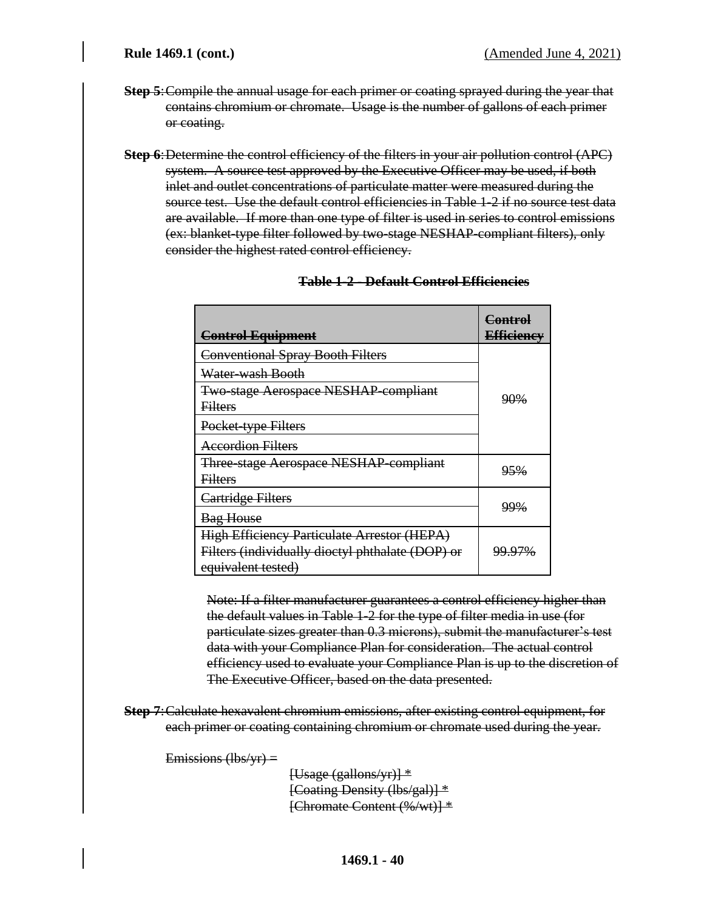- **Step 5**:Compile the annual usage for each primer or coating sprayed during the year that contains chromium or chromate. Usage is the number of gallons of each primer or coating.
- **Step 6**:Determine the control efficiency of the filters in your air pollution control (APC) system. A source test approved by the Executive Officer may be used, if both inlet and outlet concentrations of particulate matter were measured during the source test. Use the default control efficiencies in Table 1-2 if no source test data are available. If more than one type of filter is used in series to control emissions (ex: blanket-type filter followed by two-stage NESHAP-compliant filters), only consider the highest rated control efficiency.

| <b>Control Equipment</b>                           | <b>Control</b><br><b>Efficiency</b> |  |  |
|----------------------------------------------------|-------------------------------------|--|--|
| <b>Conventional Spray Booth Filters</b>            |                                     |  |  |
| Water-wash Booth                                   |                                     |  |  |
| <b>Two-stage Aerospace NESHAP-compliant</b>        | 90 <sub>%</sub>                     |  |  |
| <b>Filters</b>                                     |                                     |  |  |
| Pocket-type Filters                                |                                     |  |  |
| <b>Accordion Filters</b>                           |                                     |  |  |
| Three-stage Aerospace NESHAP-compliant             | 95 <sub>%</sub>                     |  |  |
| <b>Filters</b>                                     |                                     |  |  |
| Cartridge Filters                                  | <u>99%</u>                          |  |  |
| <b>Bag House</b>                                   |                                     |  |  |
| <b>High Efficiency Particulate Arrestor (HEPA)</b> |                                     |  |  |
| Filters (individually dioctyl phthalate (DOP) or   | 99.97%                              |  |  |
| equivalent tested)                                 |                                     |  |  |

## **Table 1-2 - Default Control Efficiencies**

Note: If a filter manufacturer guarantees a control efficiency higher than the default values in Table 1-2 for the type of filter media in use (for particulate sizes greater than 0.3 microns), submit the manufacturer's test data with your Compliance Plan for consideration. The actual control efficiency used to evaluate your Compliance Plan is up to the discretion of The Executive Officer, based on the data presented.

**Step 7**:Calculate hexavalent chromium emissions, after existing control equipment, for each primer or coating containing chromium or chromate used during the year.

Emissions  $(lbs/yr)$  =

 $[Usage (gallons/yr)]$  \* [Coating Density (lbs/gal)] \* [Chromate Content (%/wt)] \*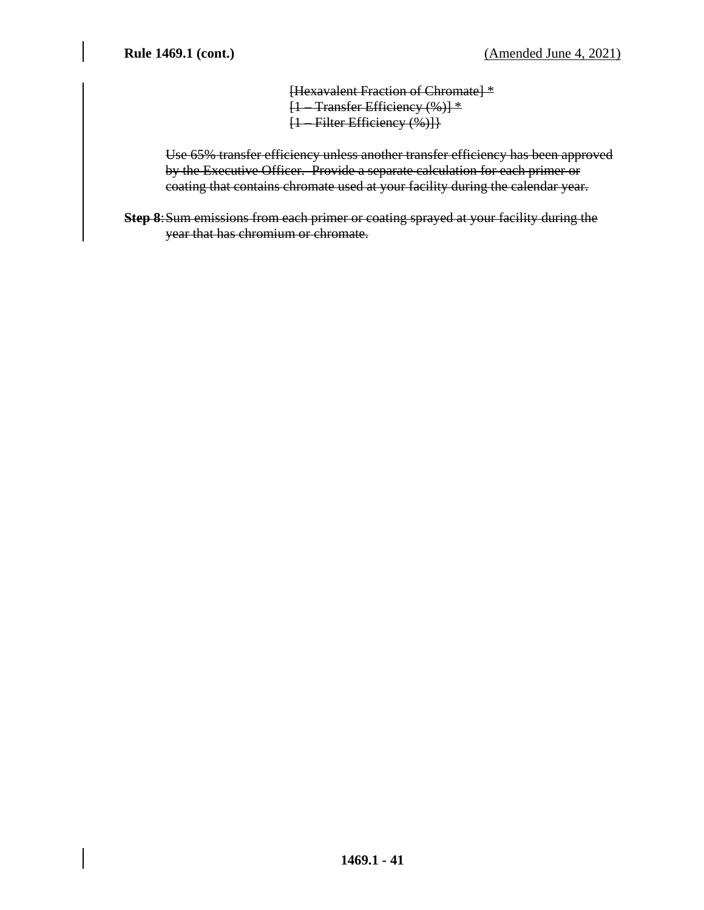[Hexavalent Fraction of Chromate] \* [1 – Transfer Efficiency (%)] \* [1 – Filter Efficiency (%)]}

Use 65% transfer efficiency unless another transfer efficiency has been approved by the Executive Officer. Provide a separate calculation for each primer or coating that contains chromate used at your facility during the calendar year.

**Step 8**:Sum emissions from each primer or coating sprayed at your facility during the year that has chromium or chromate.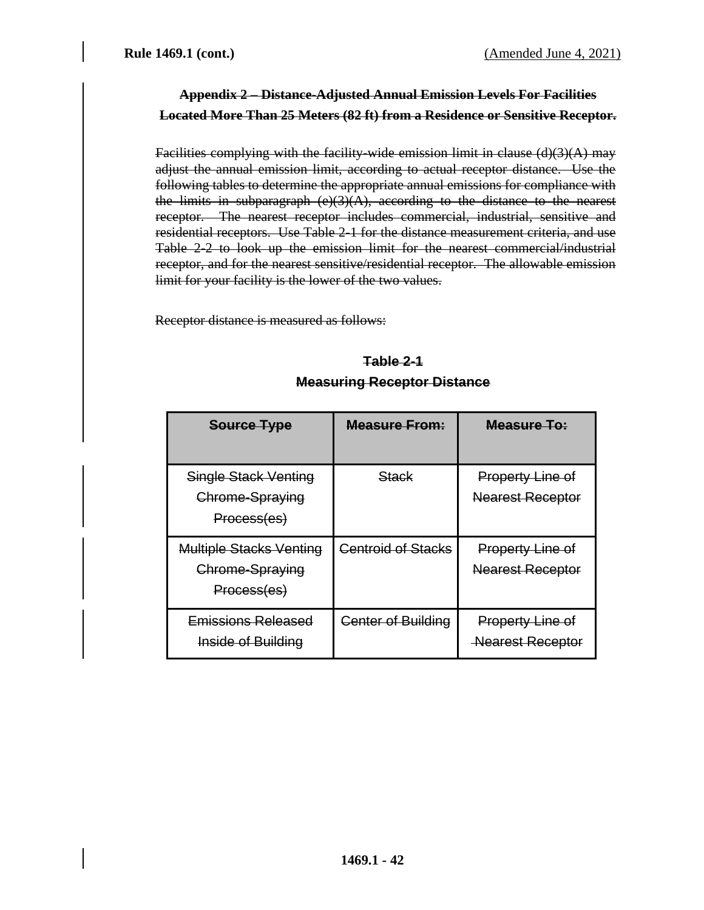# **Appendix 2 – Distance-Adjusted Annual Emission Levels For Facilities Located More Than 25 Meters (82 ft) from a Residence or Sensitive Receptor.**

Facilities complying with the facility-wide emission limit in clause  $(d)(3)(A)$  may adjust the annual emission limit, according to actual receptor distance. Use the following tables to determine the appropriate annual emissions for compliance with the limits in subparagraph  $(e)(3)(A)$ , according to the distance to the nearest receptor. The nearest receptor includes commercial, industrial, sensitive and residential receptors. Use Table 2-1 for the distance measurement criteria, and use Table 2-2 to look up the emission limit for the nearest commercial/industrial receptor, and for the nearest sensitive/residential receptor. The allowable emission limit for your facility is the lower of the two values.

Receptor distance is measured as follows:

# **Table 2-1 Measuring Receptor Distance**

| Source Type                                                      | Measure From:             | Measure To:                                        |
|------------------------------------------------------------------|---------------------------|----------------------------------------------------|
| <b>Single Stack Venting</b><br>Chrome-Spraying<br>Process(es)    | <del>Stack</del>          | <b>Property Line of</b><br><b>Nearest Receptor</b> |
| <b>Multiple Stacks Venting</b><br>Chrome-Spraying<br>Process(es) | <b>Centroid of Stacks</b> | <b>Property Line of</b><br><b>Nearest Receptor</b> |
| Emissions Released<br><b>Inside of Building</b>                  | <b>Center of Building</b> | <b>Property Line of</b><br><b>Nearest Receptor</b> |